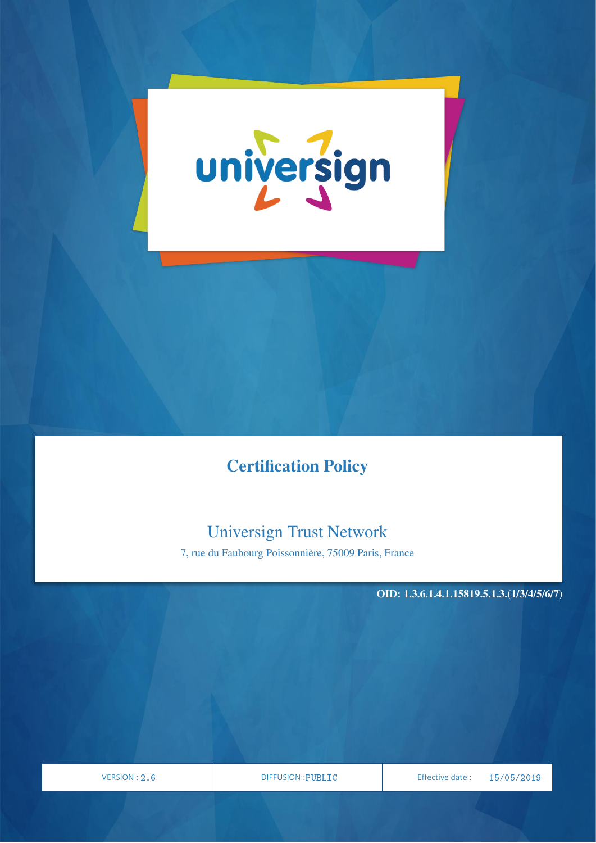

# Certification Policy

# Universign Trust Network

7, rue du Faubourg Poissonnière, 75009 Paris, France

OID: 1.3.6.1.4.1.15819.5.1.3.(1/3/4/5/6/7)

VERSION

PAGE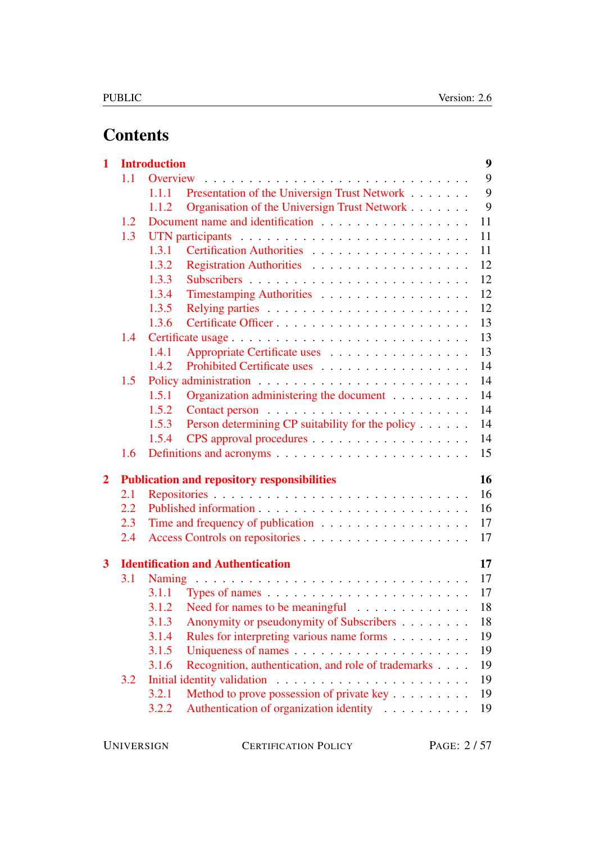# **Contents**

| $\mathbf{1}$            |     | <b>Introduction</b>                                                 | $\boldsymbol{9}$ |
|-------------------------|-----|---------------------------------------------------------------------|------------------|
|                         | 1.1 | Overview                                                            | 9                |
|                         |     | Presentation of the Universign Trust Network<br>1.1.1               | 9                |
|                         |     | Organisation of the Universign Trust Network<br>1.1.2               | 9                |
|                         | 1.2 |                                                                     | 11               |
|                         | 1.3 |                                                                     | 11               |
|                         |     | 1.3.1                                                               | 11               |
|                         |     | 1.3.2                                                               | 12               |
|                         |     | 1.3.3                                                               | 12               |
|                         |     | 1.3.4<br>Timestamping Authorities                                   | 12               |
|                         |     | 1.3.5                                                               | 12               |
|                         |     | 1.3.6                                                               | 13               |
|                         | 1.4 | Certificate usage                                                   | 13               |
|                         |     | 1.4.1<br>Appropriate Certificate uses                               | 13               |
|                         |     | Prohibited Certificate uses<br>1.4.2                                | 14               |
|                         | 1.5 |                                                                     | 14               |
|                         |     | Organization administering the document<br>1.5.1                    | 14               |
|                         |     | 1.5.2                                                               | 14               |
|                         |     | Person determining CP suitability for the policy<br>1.5.3           | 14               |
|                         |     | 1.5.4                                                               | 14               |
|                         | 1.6 |                                                                     | 15               |
| $\overline{2}$          |     | <b>Publication and repository responsibilities</b>                  | 16               |
|                         | 2.1 |                                                                     | 16               |
|                         | 2.2 |                                                                     | 16               |
|                         | 2.3 | Time and frequency of publication                                   | 17               |
|                         | 2.4 |                                                                     | 17               |
| $\overline{\mathbf{3}}$ |     | <b>Identification and Authentication</b>                            | 17               |
|                         | 3.1 |                                                                     | 17               |
|                         |     |                                                                     | 17               |
|                         |     | 3.1.2 Need for names to be meaningful $\ldots \ldots \ldots \ldots$ | 18               |
|                         |     | Anonymity or pseudonymity of Subscribers<br>3.1.3                   | 18               |
|                         |     | Rules for interpreting various name forms<br>3.1.4                  | 19               |
|                         |     | 3.1.5                                                               | 19               |
|                         |     | Recognition, authentication, and role of trademarks<br>3.1.6        | 19               |
|                         | 3.2 |                                                                     | 19               |
|                         |     | Method to prove possession of private key<br>3.2.1                  | 19               |
|                         |     | Authentication of organization identity<br>3.2.2                    | 19               |

UNIVERSIGN CERTIFICATION POLICY PAGE: 2/57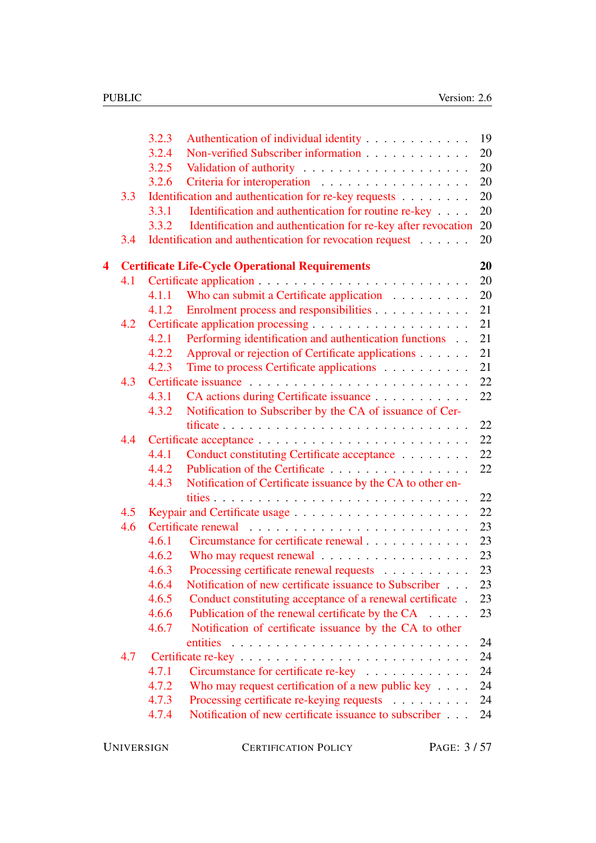|   |     | 3.2.3          | Authentication of individual identity                                                                                                                                                                                          | 19       |
|---|-----|----------------|--------------------------------------------------------------------------------------------------------------------------------------------------------------------------------------------------------------------------------|----------|
|   |     | 3.2.4          | Non-verified Subscriber information                                                                                                                                                                                            | 20       |
|   |     | 3.2.5          |                                                                                                                                                                                                                                | 20       |
|   |     | 3.2.6          |                                                                                                                                                                                                                                | 20       |
|   | 3.3 |                | Identification and authentication for re-key requests                                                                                                                                                                          | 20       |
|   |     | 3.3.1          | Identification and authentication for routine re-key                                                                                                                                                                           | 20       |
|   |     | 3.3.2          | Identification and authentication for re-key after revocation                                                                                                                                                                  | 20       |
|   | 3.4 |                | Identification and authentication for revocation request                                                                                                                                                                       | 20       |
| 4 |     |                | <b>Certificate Life-Cycle Operational Requirements</b>                                                                                                                                                                         | 20       |
|   | 4.1 |                |                                                                                                                                                                                                                                | 20       |
|   |     | 4.1.1          | Who can submit a Certificate application                                                                                                                                                                                       | 20       |
|   |     | 4.1.2          | Enrolment process and responsibilities                                                                                                                                                                                         | 21       |
|   | 4.2 |                |                                                                                                                                                                                                                                | 21       |
|   |     | 4.2.1          | Performing identification and authentication functions                                                                                                                                                                         | 21       |
|   |     | 4.2.2          | Approval or rejection of Certificate applications                                                                                                                                                                              | 21       |
|   |     | 4.2.3          | Time to process Certificate applications                                                                                                                                                                                       | 21       |
|   | 4.3 |                |                                                                                                                                                                                                                                | 22       |
|   |     | 4.3.1          | CA actions during Certificate issuance                                                                                                                                                                                         | 22       |
|   |     | 4.3.2          | Notification to Subscriber by the CA of issuance of Cer-                                                                                                                                                                       |          |
|   |     |                |                                                                                                                                                                                                                                | 22       |
|   | 4.4 |                |                                                                                                                                                                                                                                | 22       |
|   |     | 4.4.1<br>4.4.2 | Conduct constituting Certificate acceptance<br>Publication of the Certificate                                                                                                                                                  | 22<br>22 |
|   |     | 4.4.3          | Notification of Certificate issuance by the CA to other en-                                                                                                                                                                    |          |
|   |     |                |                                                                                                                                                                                                                                | 22       |
|   | 4.5 |                |                                                                                                                                                                                                                                | 22       |
|   | 4.6 |                |                                                                                                                                                                                                                                | 23       |
|   |     | 4.6.1          | Circumstance for certificate renewal                                                                                                                                                                                           | 23       |
|   |     | 4.6.2          | Who may request renewal entertainment of the material entertainment of the material entertainment of the material entertainment of the material entertainment of the material entertainment of the material entertainment of t | 23       |
|   |     | 4.6.3          | Processing certificate renewal requests                                                                                                                                                                                        | 23       |
|   |     | 4.6.4          | Notification of new certificate issuance to Subscriber                                                                                                                                                                         | 23       |
|   |     | 4.6.5          | Conduct constituting acceptance of a renewal certificate.                                                                                                                                                                      | 23       |
|   |     | 4.6.6          | Publication of the renewal certificate by the CA                                                                                                                                                                               | 23       |
|   |     | 4.6.7          | Notification of certificate issuance by the CA to other                                                                                                                                                                        |          |
|   |     |                |                                                                                                                                                                                                                                | 24       |
|   | 4.7 |                |                                                                                                                                                                                                                                | 24       |
|   |     | 4.7.1          | Circumstance for certificate re-key                                                                                                                                                                                            | 24       |
|   |     | 4.7.2          | Who may request certification of a new public key $\dots$ .                                                                                                                                                                    | 24       |
|   |     | 4.7.3          | Processing certificate re-keying requests                                                                                                                                                                                      | 24       |
|   |     | 4.7.4          | Notification of new certificate issuance to subscriber                                                                                                                                                                         | 24       |
|   |     |                |                                                                                                                                                                                                                                |          |

UNIVERSIGN CERTIFICATION POLICY PAGE: 3/57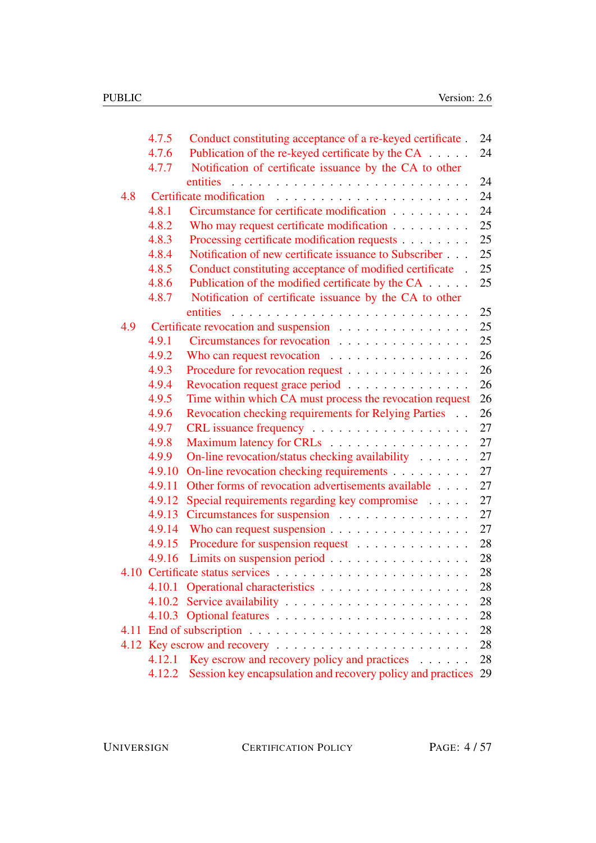|     | 4.7.5  | Conduct constituting acceptance of a re-keyed certificate.      | 24 |
|-----|--------|-----------------------------------------------------------------|----|
|     | 4.7.6  | Publication of the re-keyed certificate by the CA               | 24 |
|     | 4.7.7  | Notification of certificate issuance by the CA to other         |    |
|     |        | entities                                                        | 24 |
| 4.8 |        |                                                                 | 24 |
|     | 4.8.1  | Circumstance for certificate modification                       | 24 |
|     | 4.8.2  | Who may request certificate modification                        | 25 |
|     | 4.8.3  | Processing certificate modification requests                    | 25 |
|     | 4.8.4  | Notification of new certificate issuance to Subscriber          | 25 |
|     | 4.8.5  | Conduct constituting acceptance of modified certificate.        | 25 |
|     | 4.8.6  | Publication of the modified certificate by the CA               | 25 |
|     | 4.8.7  | Notification of certificate issuance by the CA to other         |    |
|     |        | entities                                                        | 25 |
| 4.9 |        | Certificate revocation and suspension                           | 25 |
|     | 4.9.1  | Circumstances for revocation                                    | 25 |
|     | 4.9.2  | Who can request revocation $\ldots \ldots \ldots \ldots \ldots$ | 26 |
|     | 4.9.3  | Procedure for revocation request                                | 26 |
|     | 4.9.4  | Revocation request grace period                                 | 26 |
|     | 4.9.5  | Time within which CA must process the revocation request        | 26 |
|     | 4.9.6  | Revocation checking requirements for Relying Parties            | 26 |
|     | 4.9.7  |                                                                 | 27 |
|     | 4.9.8  | Maximum latency for CRLs                                        | 27 |
|     | 4.9.9  | On-line revocation/status checking availability                 | 27 |
|     | 4.9.10 | On-line revocation checking requirements                        | 27 |
|     | 4.9.11 | Other forms of revocation advertisements available              | 27 |
|     | 4.9.12 | Special requirements regarding key compromise                   | 27 |
|     | 4.9.13 | Circumstances for suspension                                    | 27 |
|     | 4.9.14 |                                                                 | 27 |
|     | 4.9.15 | Procedure for suspension request                                | 28 |
|     | 4.9.16 | Limits on suspension period                                     | 28 |
|     |        |                                                                 | 28 |
|     | 4.10.1 | Operational characteristics                                     | 28 |
|     | 4.10.2 |                                                                 | 28 |
|     |        |                                                                 | 28 |
|     |        |                                                                 | 28 |
|     |        |                                                                 | 28 |
|     | 4.12.1 | Key escrow and recovery policy and practices $\dots \dots$      | 28 |
|     | 4.12.2 | Session key encapsulation and recovery policy and practices     | 29 |

UNIVERSIGN CERTIFICATION POLICY PAGE: 4/57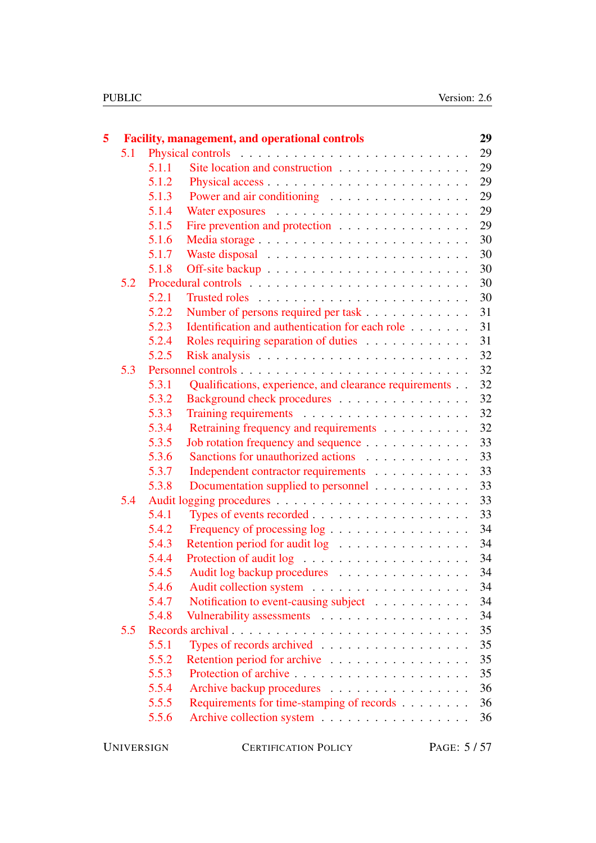| 5 |     |       | <b>Facility, management, and operational controls</b>  | 29 |
|---|-----|-------|--------------------------------------------------------|----|
|   | 5.1 |       |                                                        | 29 |
|   |     | 5.1.1 | Site location and construction                         | 29 |
|   |     | 5.1.2 |                                                        | 29 |
|   |     | 5.1.3 | Power and air conditioning                             | 29 |
|   |     | 5.1.4 |                                                        | 29 |
|   |     | 5.1.5 | Fire prevention and protection                         | 29 |
|   |     | 5.1.6 |                                                        | 30 |
|   |     | 5.1.7 |                                                        | 30 |
|   |     | 5.1.8 |                                                        | 30 |
|   | 5.2 |       |                                                        | 30 |
|   |     | 5.2.1 |                                                        | 30 |
|   |     | 5.2.2 | Number of persons required per task                    | 31 |
|   |     | 5.2.3 | Identification and authentication for each role        | 31 |
|   |     | 5.2.4 | Roles requiring separation of duties                   | 31 |
|   |     | 5.2.5 |                                                        | 32 |
|   | 5.3 |       |                                                        | 32 |
|   |     | 5.3.1 | Qualifications, experience, and clearance requirements | 32 |
|   |     | 5.3.2 | Background check procedures                            | 32 |
|   |     | 5.3.3 |                                                        | 32 |
|   |     | 5.3.4 | Retraining frequency and requirements                  | 32 |
|   |     | 5.3.5 | Job rotation frequency and sequence                    | 33 |
|   |     | 5.3.6 | Sanctions for unauthorized actions                     | 33 |
|   |     | 5.3.7 | Independent contractor requirements                    | 33 |
|   |     | 5.3.8 | Documentation supplied to personnel                    | 33 |
|   | 5.4 |       |                                                        | 33 |
|   |     | 5.4.1 |                                                        | 33 |
|   |     | 5.4.2 | Frequency of processing log                            | 34 |
|   |     | 5.4.3 | Retention period for audit log                         | 34 |
|   |     | 5.4.4 |                                                        | 34 |
|   |     | 5.4.5 | Audit log backup procedures                            | 34 |
|   |     | 5.4.6 |                                                        | 34 |
|   |     | 5.4.7 | Notification to event-causing subject                  | 34 |
|   |     | 5.4.8 | Vulnerability assessments                              | 34 |
|   | 5.5 |       |                                                        | 35 |
|   |     | 5.5.1 | Types of records archived $\ldots$ ,                   | 35 |
|   |     | 5.5.2 | Retention period for archive                           | 35 |
|   |     | 5.5.3 |                                                        | 35 |
|   |     | 5.5.4 | Archive backup procedures                              | 36 |
|   |     | 5.5.5 | Requirements for time-stamping of records              | 36 |
|   |     | 5.5.6 |                                                        | 36 |
|   |     |       |                                                        |    |

CERTIFICATION POLICY PAGE: 5/57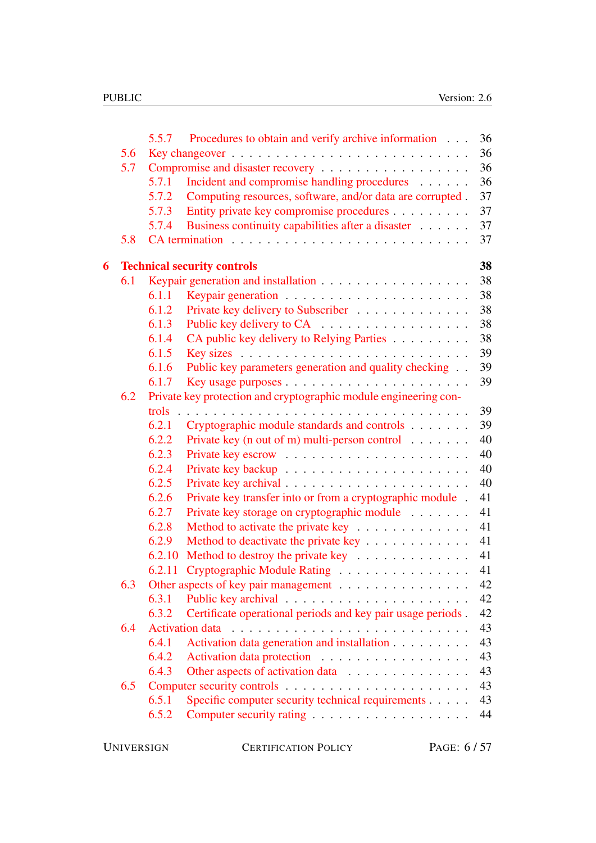|   |     | 5.5.7  | Procedures to obtain and verify archive information              | 36 |
|---|-----|--------|------------------------------------------------------------------|----|
|   | 5.6 |        |                                                                  | 36 |
|   | 5.7 |        | Compromise and disaster recovery                                 | 36 |
|   |     | 5.7.1  | Incident and compromise handling procedures                      | 36 |
|   |     | 5.7.2  | Computing resources, software, and/or data are corrupted.        | 37 |
|   |     | 5.7.3  | Entity private key compromise procedures                         | 37 |
|   |     | 5.7.4  | Business continuity capabilities after a disaster                | 37 |
|   | 5.8 |        |                                                                  | 37 |
| 6 |     |        | <b>Technical security controls</b>                               | 38 |
|   | 6.1 |        |                                                                  | 38 |
|   |     | 6.1.1  |                                                                  | 38 |
|   |     | 6.1.2  | Private key delivery to Subscriber                               | 38 |
|   |     | 6.1.3  |                                                                  | 38 |
|   |     | 6.1.4  | CA public key delivery to Relying Parties                        | 38 |
|   |     | 6.1.5  |                                                                  | 39 |
|   |     | 6.1.6  | Public key parameters generation and quality checking            | 39 |
|   |     | 6.1.7  |                                                                  | 39 |
|   | 6.2 |        | Private key protection and cryptographic module engineering con- |    |
|   |     | trols  |                                                                  | 39 |
|   |     | 6.2.1  | Cryptographic module standards and controls                      | 39 |
|   |     | 6.2.2  | Private key (n out of m) multi-person control $\dots \dots$      | 40 |
|   |     | 6.2.3  |                                                                  | 40 |
|   |     | 6.2.4  |                                                                  | 40 |
|   |     | 6.2.5  |                                                                  | 40 |
|   |     | 6.2.6  | Private key transfer into or from a cryptographic module.        | 41 |
|   |     | 6.2.7  | Private key storage on cryptographic module                      | 41 |
|   |     | 6.2.8  | Method to activate the private key                               | 41 |
|   |     | 6.2.9  | Method to deactivate the private key                             | 41 |
|   |     | 6.2.10 | Method to destroy the private key                                | 41 |
|   |     | 6.2.11 | Cryptographic Module Rating                                      | 41 |
|   | 6.3 |        | Other aspects of key pair management                             | 42 |
|   |     | 6.3.1  |                                                                  | 42 |
|   |     | 6.3.2  | Certificate operational periods and key pair usage periods.      | 42 |
|   | 6.4 |        |                                                                  | 43 |
|   |     | 6.4.1  | Activation data generation and installation                      | 43 |
|   |     | 6.4.2  | Activation data protection                                       | 43 |
|   |     | 6.4.3  | Other aspects of activation data                                 | 43 |
|   | 6.5 |        |                                                                  | 43 |
|   |     | 6.5.1  | Specific computer security technical requirements                | 43 |
|   |     | 6.5.2  |                                                                  | 44 |
|   |     |        |                                                                  |    |

CERTIFICATION POLICY PAGE: 6/57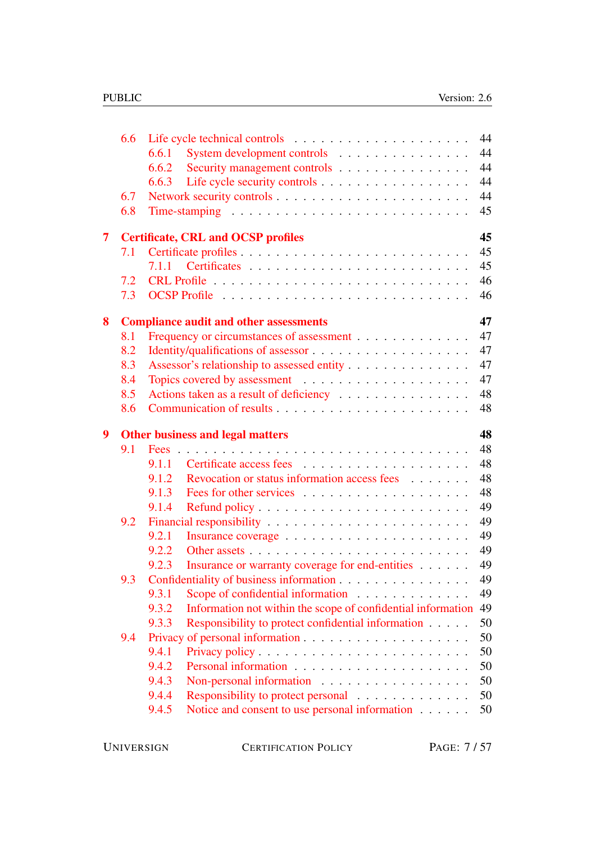|                         | 6.6 |                                                                                                        | 44       |
|-------------------------|-----|--------------------------------------------------------------------------------------------------------|----------|
|                         |     | System development controls<br>6.6.1                                                                   | 44       |
|                         |     | Security management controls<br>6.6.2                                                                  | 44       |
|                         |     | Life cycle security controls<br>6.6.3                                                                  | 44       |
|                         | 6.7 |                                                                                                        | 44       |
|                         | 6.8 |                                                                                                        | 45       |
| $\overline{\mathbf{7}}$ |     | <b>Certificate, CRL and OCSP profiles</b>                                                              | 45       |
|                         | 7.1 |                                                                                                        | 45       |
|                         |     | 7.1.1                                                                                                  | 45       |
|                         | 7.2 |                                                                                                        | 46       |
|                         | 7.3 |                                                                                                        | 46       |
| 8                       |     | <b>Compliance audit and other assessments</b>                                                          | 47       |
|                         | 8.1 | Frequency or circumstances of assessment                                                               | 47       |
|                         | 8.2 |                                                                                                        | 47       |
|                         | 8.3 | Assessor's relationship to assessed entity                                                             | 47       |
|                         | 8.4 |                                                                                                        | 47       |
|                         | 8.5 | Actions taken as a result of deficiency                                                                | 48       |
|                         | 8.6 |                                                                                                        | 48       |
|                         |     |                                                                                                        | 48       |
| 9                       |     | <b>Other business and legal matters</b>                                                                |          |
|                         | 9.1 |                                                                                                        | 48       |
|                         |     | 9.1.1                                                                                                  | 48       |
|                         |     | Revocation or status information access fees<br>9.1.2                                                  | 48       |
|                         |     | 9.1.3                                                                                                  | 48       |
|                         |     | 9.1.4                                                                                                  | 49       |
|                         | 9.2 |                                                                                                        | 49       |
|                         |     | 9.2.1                                                                                                  | 49       |
|                         |     | 9.2.2                                                                                                  | 49       |
|                         |     | 9.2.3<br>Insurance or warranty coverage for end-entities                                               | 49       |
|                         | 9.3 | Confidentiality of business information                                                                | 49       |
|                         |     | 9.3.1<br>Scope of confidential information                                                             | 49       |
|                         |     | Information not within the scope of confidential information<br>9.3.2                                  | 49       |
|                         |     | 9.3.3<br>Responsibility to protect confidential information                                            | 50       |
|                         | 9.4 |                                                                                                        | 50       |
|                         |     | 9.4.1                                                                                                  | 50       |
|                         |     | 9.4.2                                                                                                  | 50       |
|                         |     | 9.4.3<br>Non-personal information                                                                      | 50       |
|                         |     | 9.4.4<br>Responsibility to protect personal<br>9.4.5<br>Notice and consent to use personal information | 50<br>50 |

UNIVERSIGN CERTIFICATION POLICY PAGE: 7/57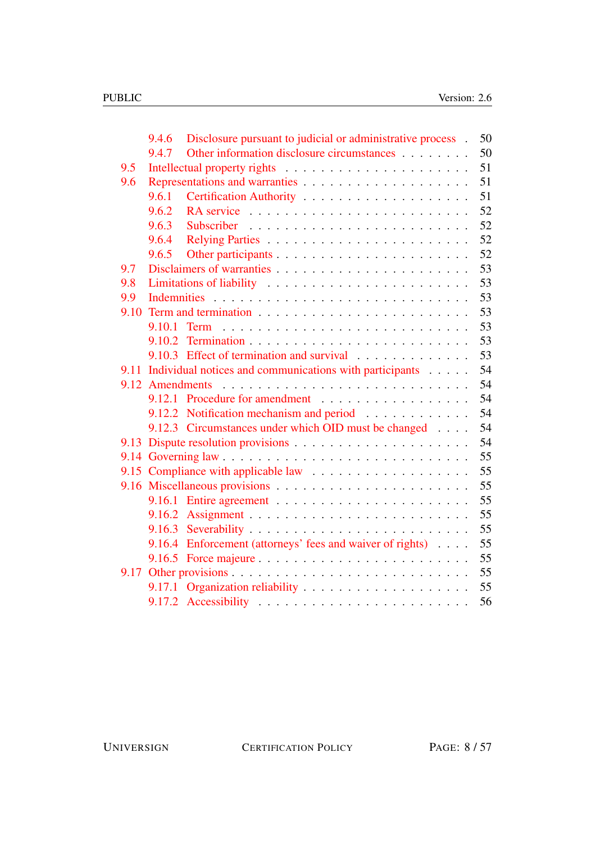|      | 9.4.6           | Disclosure pursuant to judicial or administrative process. | 50 |
|------|-----------------|------------------------------------------------------------|----|
|      | 9.4.7           | Other information disclosure circumstances                 | 50 |
| 9.5  |                 |                                                            | 51 |
| 9.6  |                 |                                                            | 51 |
|      | 9.6.1           |                                                            | 51 |
|      | 9.6.2           |                                                            | 52 |
|      | 9.6.3           |                                                            | 52 |
|      | 9.6.4           |                                                            | 52 |
|      | 9.6.5           |                                                            | 52 |
| 9.7  |                 |                                                            | 53 |
| 9.8  |                 | Limitations of liability                                   | 53 |
| 9.9  |                 |                                                            | 53 |
| 9.10 |                 |                                                            | 53 |
|      | 9.10.1          |                                                            | 53 |
|      |                 |                                                            | 53 |
|      |                 | 9.10.3 Effect of termination and survival                  | 53 |
| 9.11 |                 | Individual notices and communications with participants    | 54 |
|      | 9.12 Amendments |                                                            | 54 |
|      |                 | 9.12.1 Procedure for amendment                             | 54 |
|      |                 | 9.12.2 Notification mechanism and period                   | 54 |
|      |                 | 9.12.3 Circumstances under which OID must be changed       | 54 |
|      |                 |                                                            | 54 |
|      |                 |                                                            | 55 |
|      |                 |                                                            | 55 |
|      |                 |                                                            | 55 |
|      |                 |                                                            | 55 |
|      | 9.16.2          |                                                            | 55 |
|      | 9.16.3          |                                                            | 55 |
|      |                 | 9.16.4 Enforcement (attorneys' fees and waiver of rights)  | 55 |
|      |                 |                                                            | 55 |
| 9.17 |                 |                                                            | 55 |
|      | 9.17.1          |                                                            | 55 |
|      |                 |                                                            | 56 |
|      |                 |                                                            |    |

UNIVERSIGN CERTIFICATION POLICY PAGE: 8/57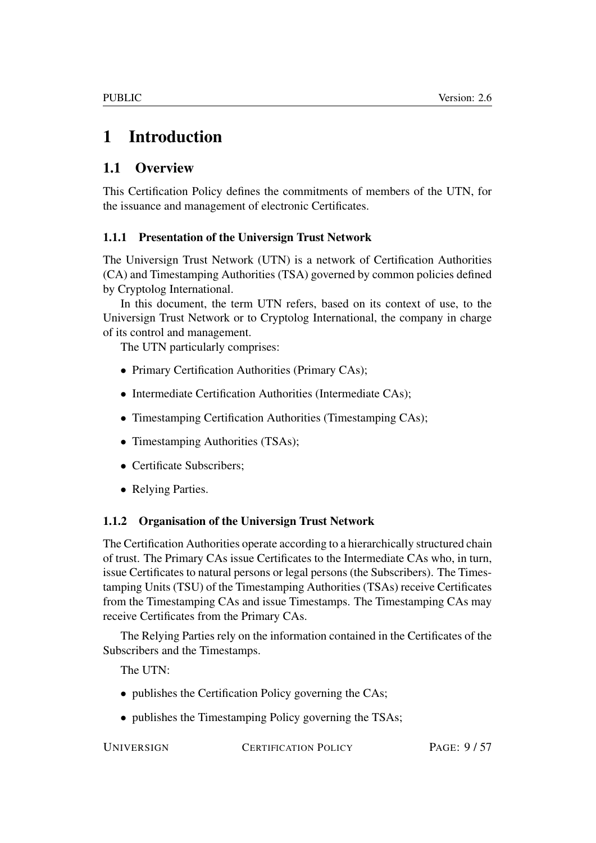# <span id="page-8-0"></span>1 Introduction

# <span id="page-8-1"></span>1.1 Overview

This Certification Policy defines the commitments of members of the UTN, for the issuance and management of electronic Certificates.

#### <span id="page-8-2"></span>1.1.1 Presentation of the Universign Trust Network

The Universign Trust Network (UTN) is a network of Certification Authorities (CA) and Timestamping Authorities (TSA) governed by common policies defined by Cryptolog International.

In this document, the term UTN refers, based on its context of use, to the Universign Trust Network or to Cryptolog International, the company in charge of its control and management.

The UTN particularly comprises:

- Primary Certification Authorities (Primary CAs);
- Intermediate Certification Authorities (Intermediate CAs);
- Timestamping Certification Authorities (Timestamping CAs);
- Timestamping Authorities (TSAs);
- Certificate Subscribers;
- Relying Parties.

#### <span id="page-8-3"></span>1.1.2 Organisation of the Universign Trust Network

The Certification Authorities operate according to a hierarchically structured chain of trust. The Primary CAs issue Certificates to the Intermediate CAs who, in turn, issue Certificates to natural persons or legal persons (the Subscribers). The Timestamping Units (TSU) of the Timestamping Authorities (TSAs) receive Certificates from the Timestamping CAs and issue Timestamps. The Timestamping CAs may receive Certificates from the Primary CAs.

The Relying Parties rely on the information contained in the Certificates of the Subscribers and the Timestamps.

The UTN:

- publishes the Certification Policy governing the CAs;
- publishes the Timestamping Policy governing the TSAs;

UNIVERSIGN CERTIFICATION POLICY PAGE: 9/57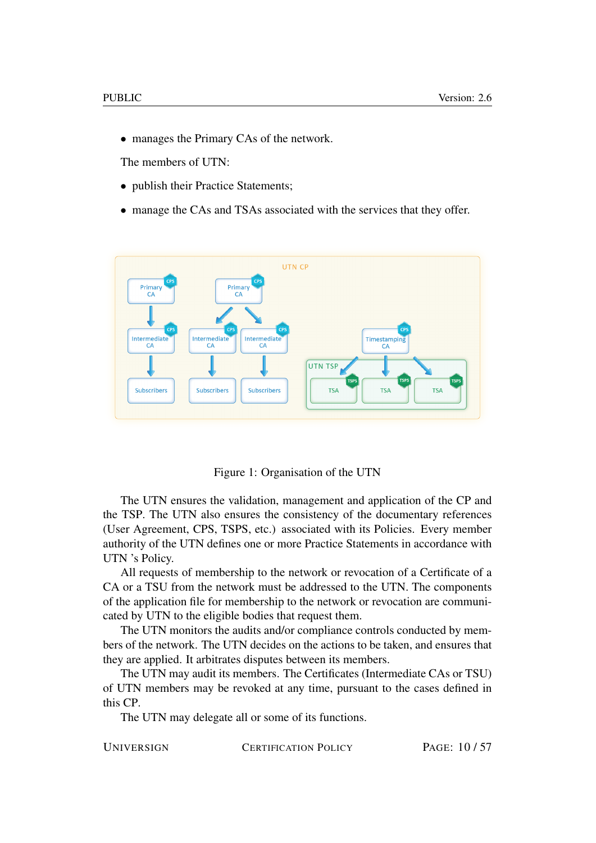• manages the Primary CAs of the network.

The members of UTN:

- publish their Practice Statements;
- manage the CAs and TSAs associated with the services that they offer.



Figure 1: Organisation of the UTN

The UTN ensures the validation, management and application of the CP and the TSP. The UTN also ensures the consistency of the documentary references (User Agreement, CPS, TSPS, etc.) associated with its Policies. Every member authority of the UTN defines one or more Practice Statements in accordance with UTN 's Policy.

All requests of membership to the network or revocation of a Certificate of a CA or a TSU from the network must be addressed to the UTN. The components of the application file for membership to the network or revocation are communicated by UTN to the eligible bodies that request them.

The UTN monitors the audits and/or compliance controls conducted by members of the network. The UTN decides on the actions to be taken, and ensures that they are applied. It arbitrates disputes between its members.

The UTN may audit its members. The Certificates (Intermediate CAs or TSU) of UTN members may be revoked at any time, pursuant to the cases defined in this CP.

The UTN may delegate all or some of its functions.

UNIVERSIGN CERTIFICATION POLICY PAGE: 10/57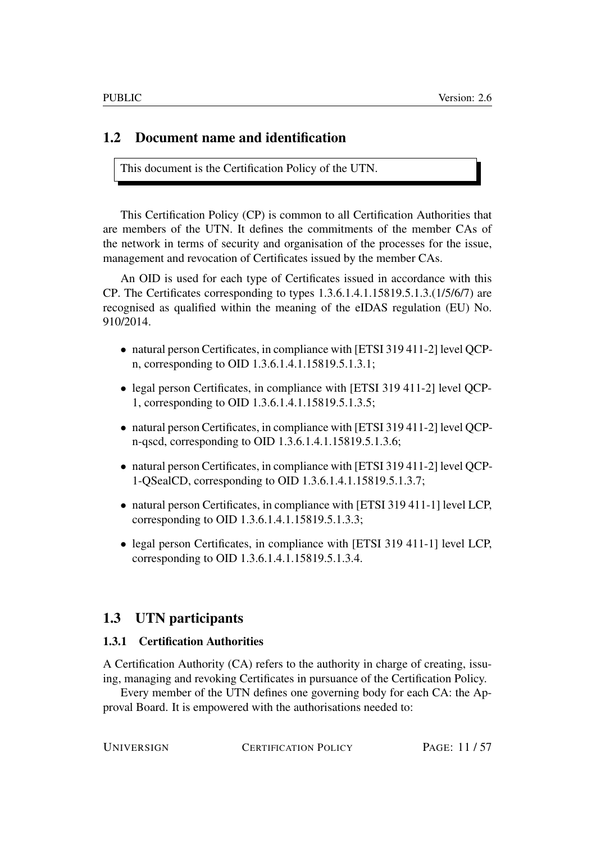# <span id="page-10-0"></span>1.2 Document name and identification

This document is the Certification Policy of the UTN.

This Certification Policy (CP) is common to all Certification Authorities that are members of the UTN. It defines the commitments of the member CAs of the network in terms of security and organisation of the processes for the issue, management and revocation of Certificates issued by the member CAs.

An OID is used for each type of Certificates issued in accordance with this CP. The Certificates corresponding to types  $1.3.6.1.4.1.15819.5.1.3.1/15/6/7$  are recognised as qualified within the meaning of the eIDAS regulation (EU) No. 910/2014.

- natural person Certificates, in compliance with [ETSI 319 411-2] level QCPn, corresponding to OID 1.3.6.1.4.1.15819.5.1.3.1;
- legal person Certificates, in compliance with [ETSI 319 411-2] level QCP-1, corresponding to OID 1.3.6.1.4.1.15819.5.1.3.5;
- natural person Certificates, in compliance with [ETSI 319 411-2] level QCPn-qscd, corresponding to OID 1.3.6.1.4.1.15819.5.1.3.6;
- natural person Certificates, in compliance with [ETSI 319 411-2] level QCP-1-QSealCD, corresponding to OID 1.3.6.1.4.1.15819.5.1.3.7;
- natural person Certificates, in compliance with [ETSI 319411-1] level LCP, corresponding to OID 1.3.6.1.4.1.15819.5.1.3.3;
- legal person Certificates, in compliance with [ETSI 319 411-1] level LCP, corresponding to OID 1.3.6.1.4.1.15819.5.1.3.4.

# <span id="page-10-1"></span>1.3 UTN participants

#### <span id="page-10-2"></span>1.3.1 Certification Authorities

A Certification Authority (CA) refers to the authority in charge of creating, issuing, managing and revoking Certificates in pursuance of the Certification Policy.

Every member of the UTN defines one governing body for each CA: the Approval Board. It is empowered with the authorisations needed to:

UNIVERSIGN CERTIFICATION POLICY PAGE: 11/57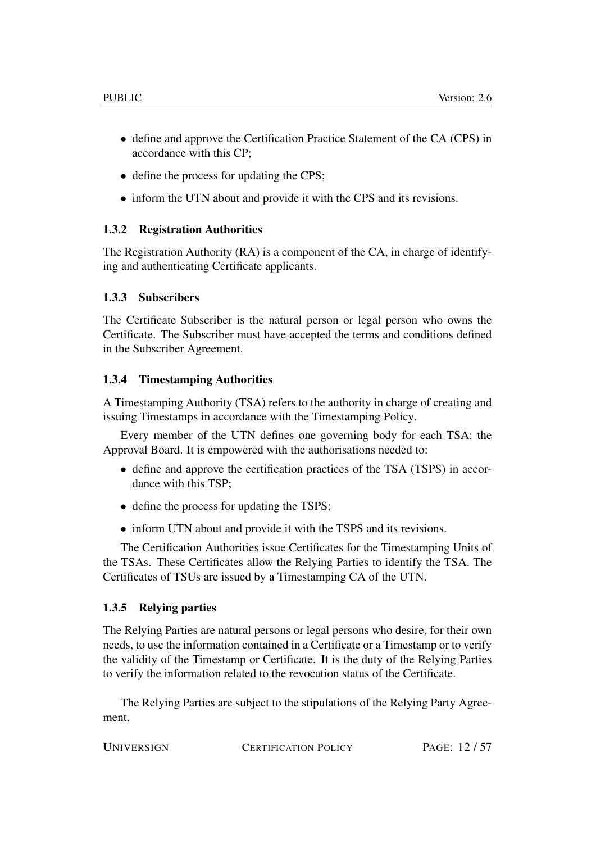- define and approve the Certification Practice Statement of the CA (CPS) in accordance with this CP;
- define the process for updating the CPS:
- inform the UTN about and provide it with the CPS and its revisions.

#### <span id="page-11-0"></span>1.3.2 Registration Authorities

The Registration Authority (RA) is a component of the CA, in charge of identifying and authenticating Certificate applicants.

#### <span id="page-11-1"></span>1.3.3 Subscribers

The Certificate Subscriber is the natural person or legal person who owns the Certificate. The Subscriber must have accepted the terms and conditions defined in the Subscriber Agreement.

#### <span id="page-11-2"></span>1.3.4 Timestamping Authorities

A Timestamping Authority (TSA) refers to the authority in charge of creating and issuing Timestamps in accordance with the Timestamping Policy.

Every member of the UTN defines one governing body for each TSA: the Approval Board. It is empowered with the authorisations needed to:

- define and approve the certification practices of the TSA (TSPS) in accordance with this TSP;
- define the process for updating the TSPS;
- inform UTN about and provide it with the TSPS and its revisions.

The Certification Authorities issue Certificates for the Timestamping Units of the TSAs. These Certificates allow the Relying Parties to identify the TSA. The Certificates of TSUs are issued by a Timestamping CA of the UTN.

#### <span id="page-11-3"></span>1.3.5 Relying parties

The Relying Parties are natural persons or legal persons who desire, for their own needs, to use the information contained in a Certificate or a Timestamp or to verify the validity of the Timestamp or Certificate. It is the duty of the Relying Parties to verify the information related to the revocation status of the Certificate.

The Relying Parties are subject to the stipulations of the Relying Party Agreement.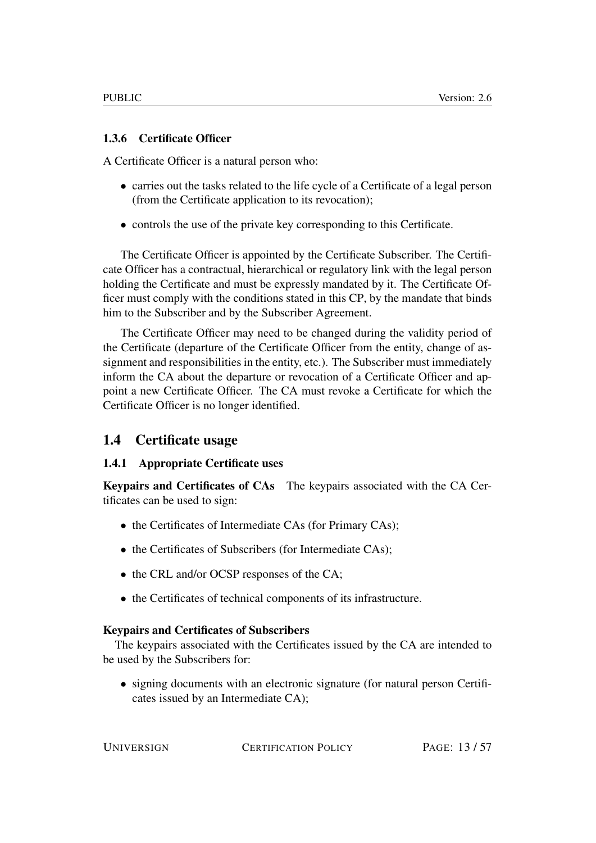#### <span id="page-12-0"></span>1.3.6 Certificate Officer

A Certificate Officer is a natural person who:

- carries out the tasks related to the life cycle of a Certificate of a legal person (from the Certificate application to its revocation);
- controls the use of the private key corresponding to this Certificate.

The Certificate Officer is appointed by the Certificate Subscriber. The Certificate Officer has a contractual, hierarchical or regulatory link with the legal person holding the Certificate and must be expressly mandated by it. The Certificate Officer must comply with the conditions stated in this CP, by the mandate that binds him to the Subscriber and by the Subscriber Agreement.

The Certificate Officer may need to be changed during the validity period of the Certificate (departure of the Certificate Officer from the entity, change of assignment and responsibilities in the entity, etc.). The Subscriber must immediately inform the CA about the departure or revocation of a Certificate Officer and appoint a new Certificate Officer. The CA must revoke a Certificate for which the Certificate Officer is no longer identified.

# <span id="page-12-1"></span>1.4 Certificate usage

#### <span id="page-12-2"></span>1.4.1 Appropriate Certificate uses

Keypairs and Certificates of CAs The keypairs associated with the CA Certificates can be used to sign:

- the Certificates of Intermediate CAs (for Primary CAs);
- the Certificates of Subscribers (for Intermediate CAs);
- the CRL and/or OCSP responses of the CA;
- the Certificates of technical components of its infrastructure.

#### Keypairs and Certificates of Subscribers

The keypairs associated with the Certificates issued by the CA are intended to be used by the Subscribers for:

• signing documents with an electronic signature (for natural person Certificates issued by an Intermediate CA);

UNIVERSIGN CERTIFICATION POLICY PAGE: 13/57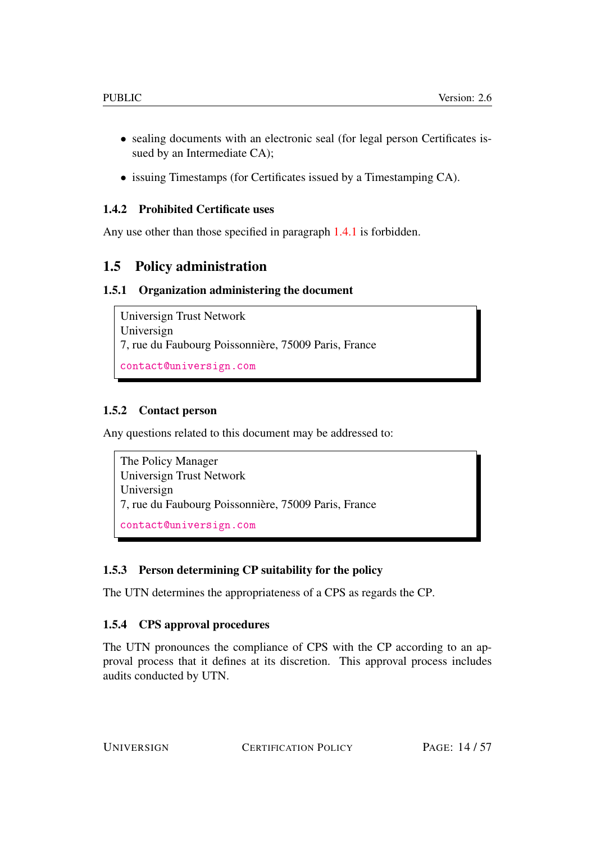- sealing documents with an electronic seal (for legal person Certificates issued by an Intermediate CA);
- issuing Timestamps (for Certificates issued by a Timestamping CA).

#### <span id="page-13-0"></span>1.4.2 Prohibited Certificate uses

Any use other than those specified in paragraph [1.4.1](#page-12-2) is forbidden.

# <span id="page-13-1"></span>1.5 Policy administration

#### <span id="page-13-2"></span>1.5.1 Organization administering the document

```
Universign Trust Network
Universign
7, rue du Faubourg Poissonnière, 75009 Paris, France
contact@universign.com
```
#### <span id="page-13-3"></span>1.5.2 Contact person

Any questions related to this document may be addressed to:

The Policy Manager Universign Trust Network Universign 7, rue du Faubourg Poissonnière, 75009 Paris, France <contact@universign.com>

#### <span id="page-13-4"></span>1.5.3 Person determining CP suitability for the policy

The UTN determines the appropriateness of a CPS as regards the CP.

#### <span id="page-13-5"></span>1.5.4 CPS approval procedures

The UTN pronounces the compliance of CPS with the CP according to an approval process that it defines at its discretion. This approval process includes audits conducted by UTN.

UNIVERSIGN CERTIFICATION POLICY PAGE: 14/57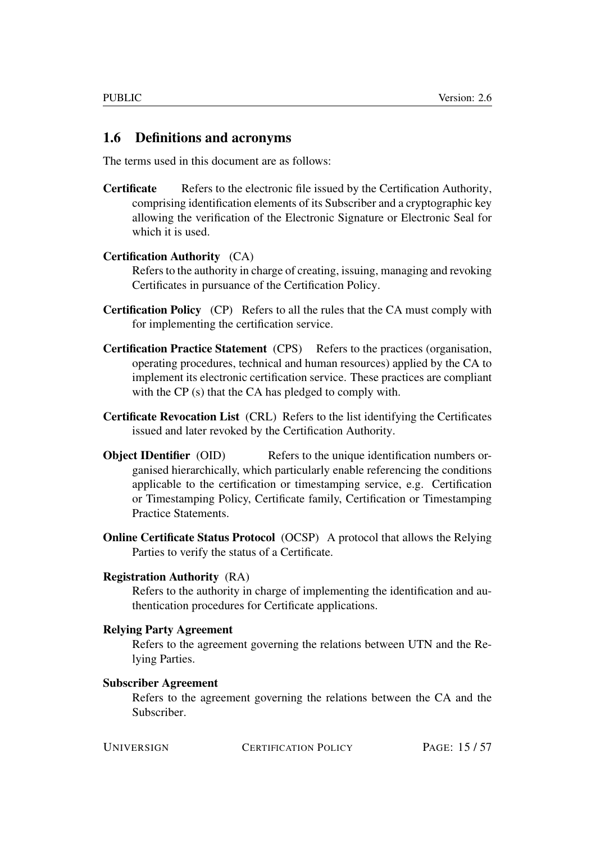#### <span id="page-14-0"></span>1.6 Definitions and acronyms

The terms used in this document are as follows:

Certificate Refers to the electronic file issued by the Certification Authority, comprising identification elements of its Subscriber and a cryptographic key allowing the verification of the Electronic Signature or Electronic Seal for which it is used.

#### Certification Authority (CA)

Refers to the authority in charge of creating, issuing, managing and revoking Certificates in pursuance of the Certification Policy.

- Certification Policy (CP) Refers to all the rules that the CA must comply with for implementing the certification service.
- Certification Practice Statement (CPS) Refers to the practices (organisation, operating procedures, technical and human resources) applied by the CA to implement its electronic certification service. These practices are compliant with the CP (s) that the CA has pledged to comply with.
- Certificate Revocation List (CRL) Refers to the list identifying the Certificates issued and later revoked by the Certification Authority.
- **Object IDentifier** (OID) Refers to the unique identification numbers organised hierarchically, which particularly enable referencing the conditions applicable to the certification or timestamping service, e.g. Certification or Timestamping Policy, Certificate family, Certification or Timestamping Practice Statements.
- Online Certificate Status Protocol (OCSP) A protocol that allows the Relying Parties to verify the status of a Certificate.

#### Registration Authority (RA)

Refers to the authority in charge of implementing the identification and authentication procedures for Certificate applications.

#### Relying Party Agreement

Refers to the agreement governing the relations between UTN and the Relying Parties.

#### Subscriber Agreement

Refers to the agreement governing the relations between the CA and the Subscriber.

UNIVERSIGN CERTIFICATION POLICY PAGE: 15/57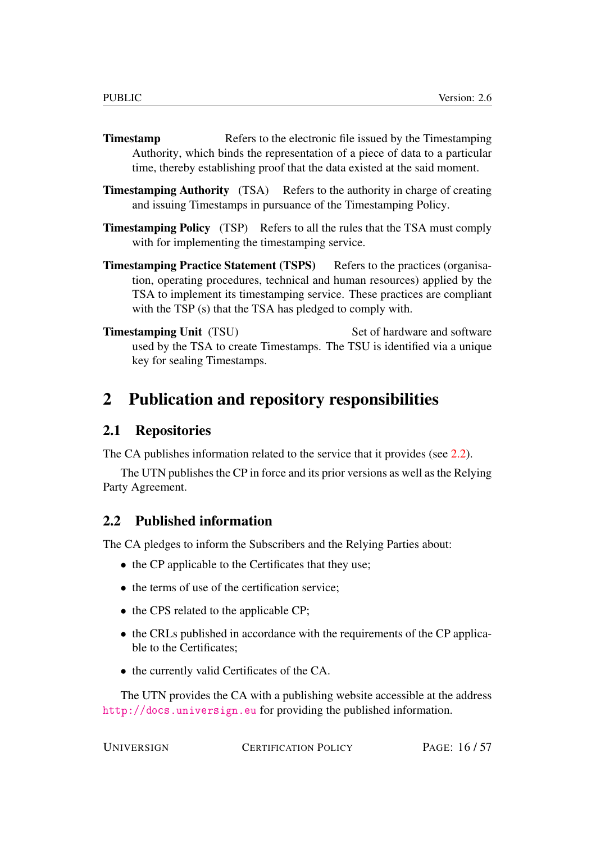- **Timestamp** Refers to the electronic file issued by the Timestamping Authority, which binds the representation of a piece of data to a particular time, thereby establishing proof that the data existed at the said moment.
- **Timestamping Authority** (TSA) Refers to the authority in charge of creating and issuing Timestamps in pursuance of the Timestamping Policy.
- Timestamping Policy (TSP) Refers to all the rules that the TSA must comply with for implementing the timestamping service.
- Timestamping Practice Statement (TSPS) Refers to the practices (organisation, operating procedures, technical and human resources) applied by the TSA to implement its timestamping service. These practices are compliant with the TSP (s) that the TSA has pledged to comply with.
- **Timestamping Unit** (TSU) Set of hardware and software used by the TSA to create Timestamps. The TSU is identified via a unique key for sealing Timestamps.

# <span id="page-15-0"></span>2 Publication and repository responsibilities

# <span id="page-15-1"></span>2.1 Repositories

The CA publishes information related to the service that it provides (see [2.2\)](#page-15-2).

The UTN publishes the CP in force and its prior versions as well as the Relying Party Agreement.

# <span id="page-15-2"></span>2.2 Published information

The CA pledges to inform the Subscribers and the Relying Parties about:

- the CP applicable to the Certificates that they use;
- the terms of use of the certification service:
- the CPS related to the applicable CP:
- the CRLs published in accordance with the requirements of the CP applicable to the Certificates;
- the currently valid Certificates of the CA.

The UTN provides the CA with a publishing website accessible at the address <http://docs.universign.eu> for providing the published information.

CERTIFICATION POLICY PAGE: 16/57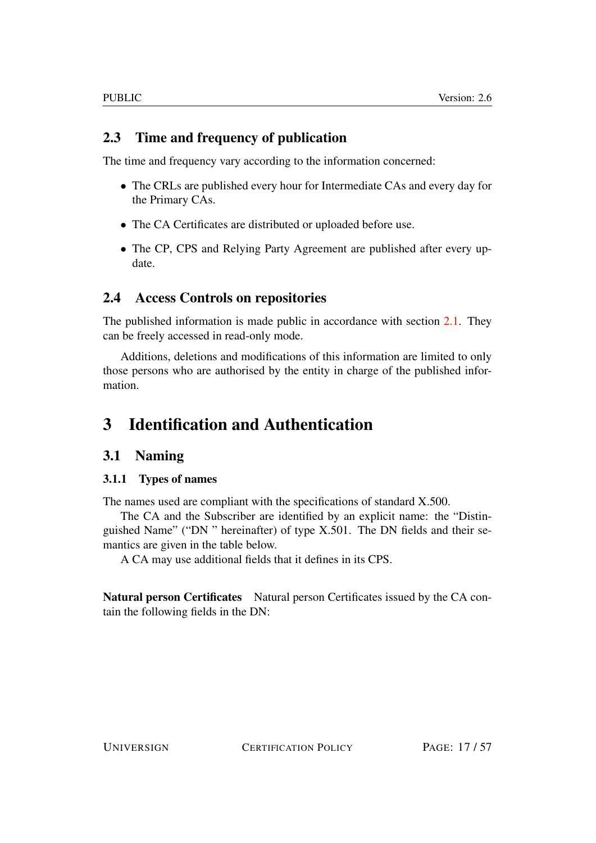# <span id="page-16-0"></span>2.3 Time and frequency of publication

The time and frequency vary according to the information concerned:

- The CRLs are published every hour for Intermediate CAs and every day for the Primary CAs.
- The CA Certificates are distributed or uploaded before use.
- The CP, CPS and Relying Party Agreement are published after every update.

# <span id="page-16-1"></span>2.4 Access Controls on repositories

The published information is made public in accordance with section [2.1.](#page-15-1) They can be freely accessed in read-only mode.

Additions, deletions and modifications of this information are limited to only those persons who are authorised by the entity in charge of the published information.

# <span id="page-16-2"></span>3 Identification and Authentication

# <span id="page-16-3"></span>3.1 Naming

#### <span id="page-16-4"></span>3.1.1 Types of names

The names used are compliant with the specifications of standard X.500.

The CA and the Subscriber are identified by an explicit name: the "Distinguished Name" ("DN " hereinafter) of type X.501. The DN fields and their semantics are given in the table below.

A CA may use additional fields that it defines in its CPS.

Natural person Certificates Natural person Certificates issued by the CA contain the following fields in the DN: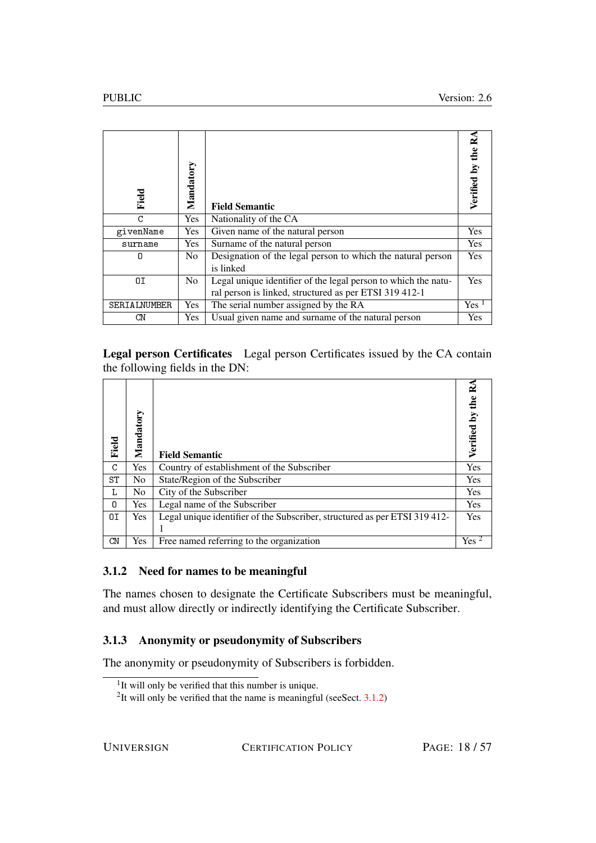| Field        | Mandatory      | <b>Field Semantic</b>                                                                                                    |         |
|--------------|----------------|--------------------------------------------------------------------------------------------------------------------------|---------|
| C            | <b>Yes</b>     | Nationality of the CA                                                                                                    |         |
| givenName    | Yes            | Given name of the natural person                                                                                         | Yes     |
| surname      | <b>Yes</b>     | Surname of the natural person                                                                                            | Yes     |
| 0            | N <sub>0</sub> | Designation of the legal person to which the natural person<br>is linked                                                 | Yes     |
| OΙ           | No.            | Legal unique identifier of the legal person to which the natu-<br>ral person is linked, structured as per ETSI 319 412-1 | Yes     |
| SERIALNUMBER | <b>Yes</b>     | The serial number assigned by the RA                                                                                     | $Yes-1$ |
| CΝ           | <b>Yes</b>     | Usual given name and surname of the natural person                                                                       | Yes     |

Legal person Certificates Legal person Certificates issued by the CA contain the following fields in the DN:

| Field | Mandatory      | <b>Field Semantic</b>                                                     | Verified |
|-------|----------------|---------------------------------------------------------------------------|----------|
| C     | Yes            | Country of establishment of the Subscriber                                | Yes      |
| ST    | N <sub>o</sub> | State/Region of the Subscriber                                            | Yes      |
| L     | N <sub>0</sub> | City of the Subscriber                                                    | Yes      |
| n.    | <b>Yes</b>     | Legal name of the Subscriber                                              | Yes      |
| ΟI    | <b>Yes</b>     | Legal unique identifier of the Subscriber, structured as per ETSI 319412- | Yes      |
|       |                |                                                                           |          |
| CN    | Yes            | Free named referring to the organization                                  | Yes      |

#### <span id="page-17-0"></span>3.1.2 Need for names to be meaningful

The names chosen to designate the Certificate Subscribers must be meaningful, and must allow directly or indirectly identifying the Certificate Subscriber.

#### <span id="page-17-1"></span>3.1.3 Anonymity or pseudonymity of Subscribers

The anonymity or pseudonymity of Subscribers is forbidden.

UNIVERSIGN CERTIFICATION POLICY PAGE: 18/57

<sup>&</sup>lt;sup>1</sup>It will only be verified that this number is unique.

<sup>&</sup>lt;sup>2</sup>It will only be verified that the name is meaningful (see Sect.  $3.1.2$ )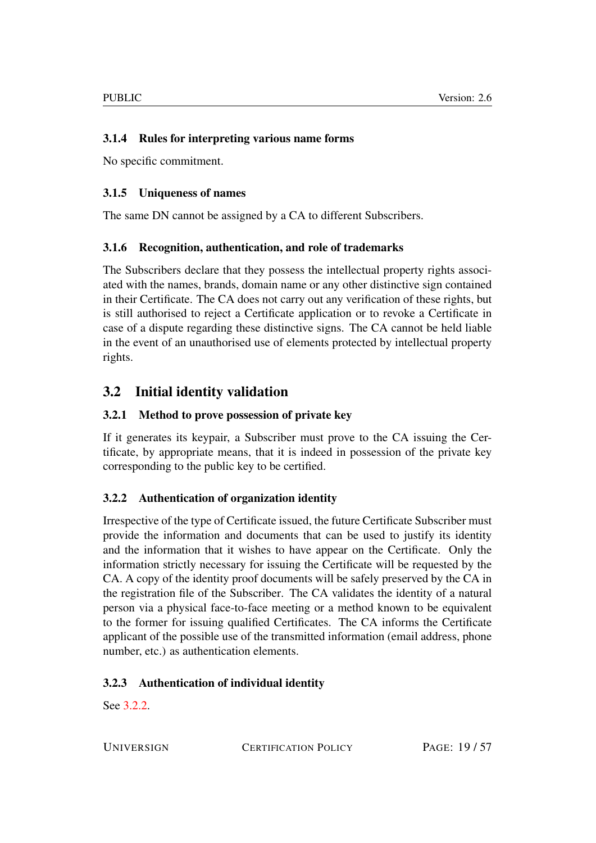#### <span id="page-18-0"></span>3.1.4 Rules for interpreting various name forms

No specific commitment.

#### <span id="page-18-1"></span>3.1.5 Uniqueness of names

The same DN cannot be assigned by a CA to different Subscribers.

#### <span id="page-18-2"></span>3.1.6 Recognition, authentication, and role of trademarks

The Subscribers declare that they possess the intellectual property rights associated with the names, brands, domain name or any other distinctive sign contained in their Certificate. The CA does not carry out any verification of these rights, but is still authorised to reject a Certificate application or to revoke a Certificate in case of a dispute regarding these distinctive signs. The CA cannot be held liable in the event of an unauthorised use of elements protected by intellectual property rights.

# <span id="page-18-3"></span>3.2 Initial identity validation

#### <span id="page-18-4"></span>3.2.1 Method to prove possession of private key

If it generates its keypair, a Subscriber must prove to the CA issuing the Certificate, by appropriate means, that it is indeed in possession of the private key corresponding to the public key to be certified.

#### <span id="page-18-5"></span>3.2.2 Authentication of organization identity

Irrespective of the type of Certificate issued, the future Certificate Subscriber must provide the information and documents that can be used to justify its identity and the information that it wishes to have appear on the Certificate. Only the information strictly necessary for issuing the Certificate will be requested by the CA. A copy of the identity proof documents will be safely preserved by the CA in the registration file of the Subscriber. The CA validates the identity of a natural person via a physical face-to-face meeting or a method known to be equivalent to the former for issuing qualified Certificates. The CA informs the Certificate applicant of the possible use of the transmitted information (email address, phone number, etc.) as authentication elements.

#### <span id="page-18-6"></span>3.2.3 Authentication of individual identity

See [3.2.2.](#page-18-5)

UNIVERSIGN CERTIFICATION POLICY PAGE: 19/57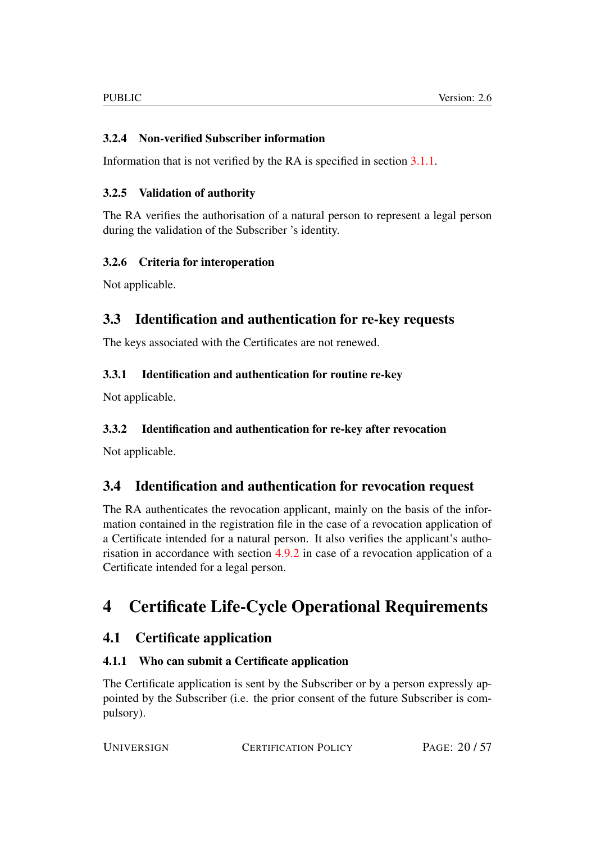# <span id="page-19-0"></span>3.2.4 Non-verified Subscriber information

Information that is not verified by the RA is specified in section [3.1.1.](#page-16-4)

### <span id="page-19-1"></span>3.2.5 Validation of authority

The RA verifies the authorisation of a natural person to represent a legal person during the validation of the Subscriber 's identity.

# <span id="page-19-2"></span>3.2.6 Criteria for interoperation

Not applicable.

# <span id="page-19-3"></span>3.3 Identification and authentication for re-key requests

The keys associated with the Certificates are not renewed.

# <span id="page-19-4"></span>3.3.1 Identification and authentication for routine re-key

Not applicable.

# <span id="page-19-5"></span>3.3.2 Identification and authentication for re-key after revocation

Not applicable.

# <span id="page-19-6"></span>3.4 Identification and authentication for revocation request

The RA authenticates the revocation applicant, mainly on the basis of the information contained in the registration file in the case of a revocation application of a Certificate intended for a natural person. It also verifies the applicant's authorisation in accordance with section [4.9.2](#page-25-0) in case of a revocation application of a Certificate intended for a legal person.

# <span id="page-19-7"></span>4 Certificate Life-Cycle Operational Requirements

# <span id="page-19-8"></span>4.1 Certificate application

# <span id="page-19-9"></span>4.1.1 Who can submit a Certificate application

The Certificate application is sent by the Subscriber or by a person expressly appointed by the Subscriber (i.e. the prior consent of the future Subscriber is compulsory).

| <b>UNIVERSIGN</b> | <b>CERTIFICATION POLICY</b> | PAGE: 20/57 |
|-------------------|-----------------------------|-------------|
|                   |                             |             |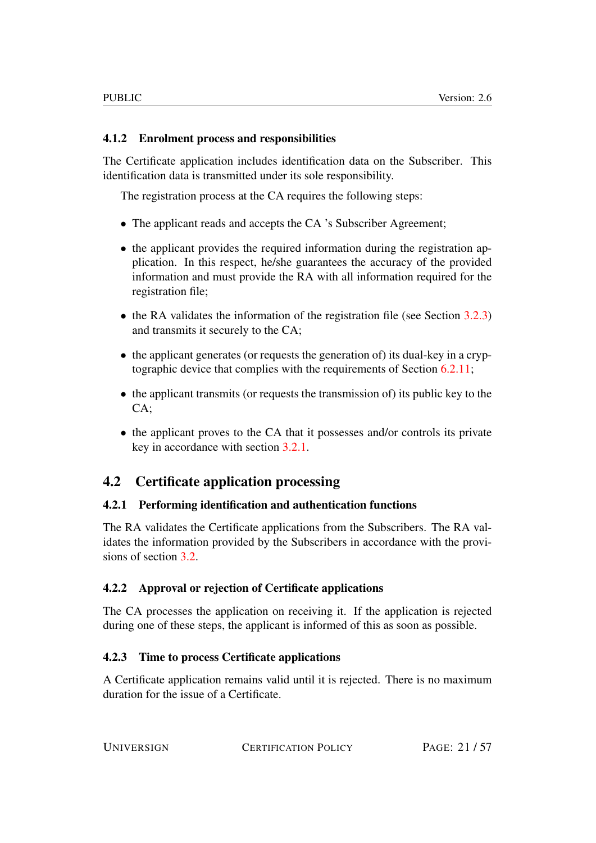#### <span id="page-20-0"></span>4.1.2 Enrolment process and responsibilities

The Certificate application includes identification data on the Subscriber. This identification data is transmitted under its sole responsibility.

The registration process at the CA requires the following steps:

- The applicant reads and accepts the CA 's Subscriber Agreement;
- the applicant provides the required information during the registration application. In this respect, he/she guarantees the accuracy of the provided information and must provide the RA with all information required for the registration file;
- the RA validates the information of the registration file (see Section [3.2.3\)](#page-18-6) and transmits it securely to the CA;
- the applicant generates (or requests the generation of) its dual-key in a cryptographic device that complies with the requirements of Section [6.2.11;](#page-40-5)
- the applicant transmits (or requests the transmission of) its public key to the CA;
- the applicant proves to the CA that it possesses and/or controls its private key in accordance with section [3.2.1.](#page-18-4)

# <span id="page-20-1"></span>4.2 Certificate application processing

#### <span id="page-20-2"></span>4.2.1 Performing identification and authentication functions

The RA validates the Certificate applications from the Subscribers. The RA validates the information provided by the Subscribers in accordance with the provi-sions of section [3.2.](#page-18-3)

#### <span id="page-20-3"></span>4.2.2 Approval or rejection of Certificate applications

The CA processes the application on receiving it. If the application is rejected during one of these steps, the applicant is informed of this as soon as possible.

#### <span id="page-20-4"></span>4.2.3 Time to process Certificate applications

A Certificate application remains valid until it is rejected. There is no maximum duration for the issue of a Certificate.

UNIVERSIGN CERTIFICATION POLICY PAGE: 21/57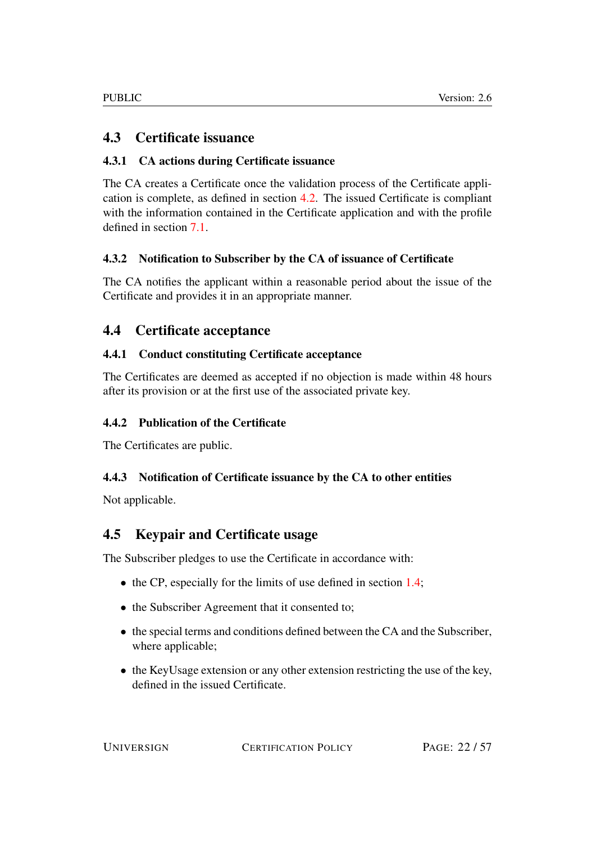# <span id="page-21-0"></span>4.3 Certificate issuance

#### <span id="page-21-1"></span>4.3.1 CA actions during Certificate issuance

The CA creates a Certificate once the validation process of the Certificate application is complete, as defined in section [4.2.](#page-20-1) The issued Certificate is compliant with the information contained in the Certificate application and with the profile defined in section [7.1.](#page-44-2)

#### <span id="page-21-2"></span>4.3.2 Notification to Subscriber by the CA of issuance of Certificate

The CA notifies the applicant within a reasonable period about the issue of the Certificate and provides it in an appropriate manner.

# <span id="page-21-3"></span>4.4 Certificate acceptance

#### <span id="page-21-4"></span>4.4.1 Conduct constituting Certificate acceptance

The Certificates are deemed as accepted if no objection is made within 48 hours after its provision or at the first use of the associated private key.

#### <span id="page-21-5"></span>4.4.2 Publication of the Certificate

The Certificates are public.

#### <span id="page-21-6"></span>4.4.3 Notification of Certificate issuance by the CA to other entities

Not applicable.

# <span id="page-21-7"></span>4.5 Keypair and Certificate usage

The Subscriber pledges to use the Certificate in accordance with:

- the CP, especially for the limits of use defined in section [1.4;](#page-12-1)
- the Subscriber Agreement that it consented to;
- the special terms and conditions defined between the CA and the Subscriber, where applicable;
- the KeyUsage extension or any other extension restricting the use of the key, defined in the issued Certificate.

UNIVERSIGN CERTIFICATION POLICY PAGE: 22/57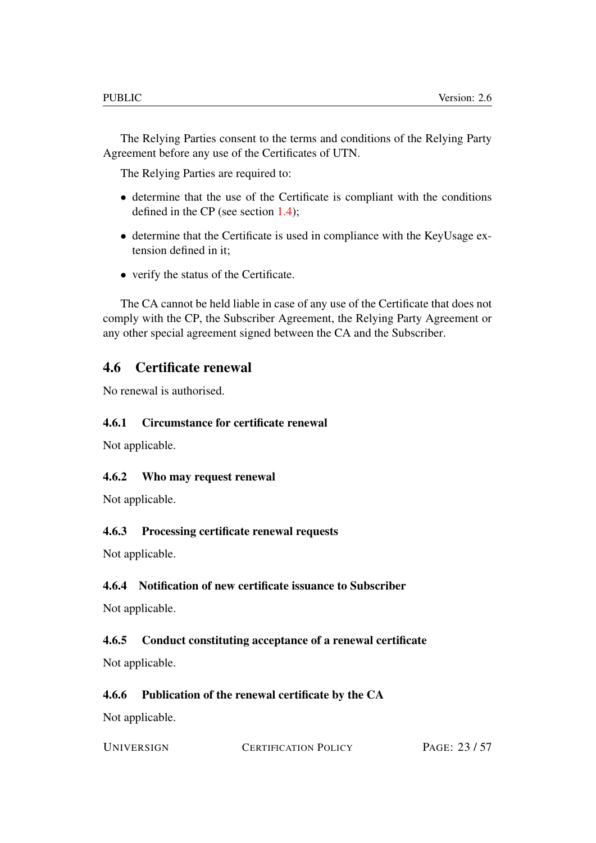The Relying Parties consent to the terms and conditions of the Relying Party Agreement before any use of the Certificates of UTN.

The Relying Parties are required to:

- determine that the use of the Certificate is compliant with the conditions defined in the CP (see section [1.4\)](#page-12-1);
- determine that the Certificate is used in compliance with the KeyUsage extension defined in it;
- verify the status of the Certificate.

The CA cannot be held liable in case of any use of the Certificate that does not comply with the CP, the Subscriber Agreement, the Relying Party Agreement or any other special agreement signed between the CA and the Subscriber.

# <span id="page-22-0"></span>4.6 Certificate renewal

No renewal is authorised.

#### <span id="page-22-1"></span>4.6.1 Circumstance for certificate renewal

Not applicable.

#### <span id="page-22-2"></span>4.6.2 Who may request renewal

Not applicable.

#### <span id="page-22-3"></span>4.6.3 Processing certificate renewal requests

Not applicable.

#### <span id="page-22-4"></span>4.6.4 Notification of new certificate issuance to Subscriber

Not applicable.

#### <span id="page-22-5"></span>4.6.5 Conduct constituting acceptance of a renewal certificate

Not applicable.

#### <span id="page-22-6"></span>4.6.6 Publication of the renewal certificate by the CA

Not applicable.

| <b>UNIVERSIGN</b> | <b>CERTIFICATION POLICY</b> | PAGE: 23/57 |
|-------------------|-----------------------------|-------------|
|                   |                             |             |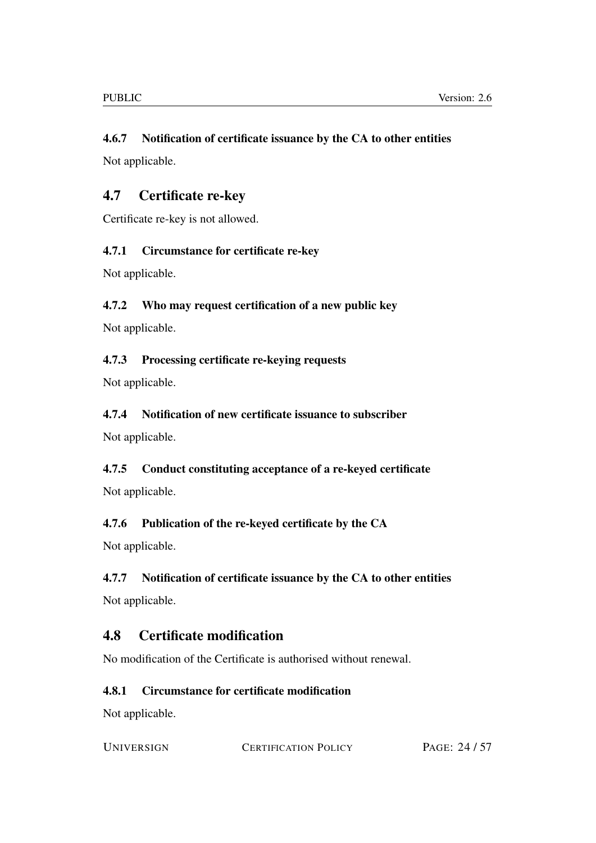#### <span id="page-23-0"></span>4.6.7 Notification of certificate issuance by the CA to other entities

Not applicable.

# <span id="page-23-1"></span>4.7 Certificate re-key

Certificate re-key is not allowed.

#### <span id="page-23-2"></span>4.7.1 Circumstance for certificate re-key

Not applicable.

#### <span id="page-23-3"></span>4.7.2 Who may request certification of a new public key

Not applicable.

#### <span id="page-23-4"></span>4.7.3 Processing certificate re-keying requests

Not applicable.

#### <span id="page-23-5"></span>4.7.4 Notification of new certificate issuance to subscriber

Not applicable.

# <span id="page-23-6"></span>4.7.5 Conduct constituting acceptance of a re-keyed certificate Not applicable.

# <span id="page-23-7"></span>4.7.6 Publication of the re-keyed certificate by the CA

Not applicable.

#### <span id="page-23-8"></span>4.7.7 Notification of certificate issuance by the CA to other entities

Not applicable.

# <span id="page-23-9"></span>4.8 Certificate modification

No modification of the Certificate is authorised without renewal.

#### <span id="page-23-10"></span>4.8.1 Circumstance for certificate modification

Not applicable.

UNIVERSIGN CERTIFICATION POLICY PAGE: 24/57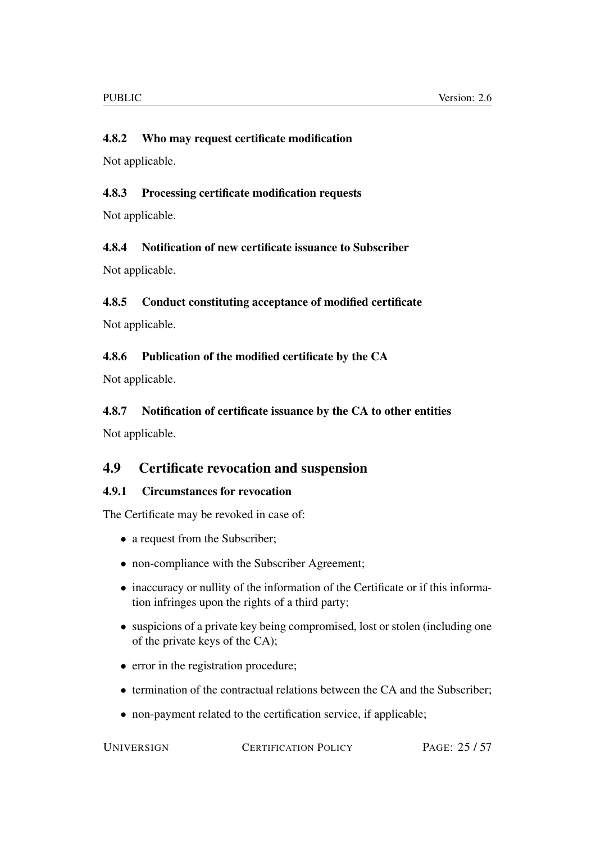#### <span id="page-24-0"></span>4.8.2 Who may request certificate modification

Not applicable.

#### <span id="page-24-1"></span>4.8.3 Processing certificate modification requests

Not applicable.

#### <span id="page-24-2"></span>4.8.4 Notification of new certificate issuance to Subscriber

Not applicable.

#### <span id="page-24-3"></span>4.8.5 Conduct constituting acceptance of modified certificate

Not applicable.

#### <span id="page-24-4"></span>4.8.6 Publication of the modified certificate by the CA

Not applicable.

#### <span id="page-24-5"></span>4.8.7 Notification of certificate issuance by the CA to other entities

Not applicable.

### <span id="page-24-6"></span>4.9 Certificate revocation and suspension

#### <span id="page-24-7"></span>4.9.1 Circumstances for revocation

The Certificate may be revoked in case of:

- a request from the Subscriber;
- non-compliance with the Subscriber Agreement;
- inaccuracy or nullity of the information of the Certificate or if this information infringes upon the rights of a third party;
- suspicions of a private key being compromised, lost or stolen (including one of the private keys of the CA);
- error in the registration procedure;
- termination of the contractual relations between the CA and the Subscriber;
- non-payment related to the certification service, if applicable;

UNIVERSIGN CERTIFICATION POLICY PAGE: 25/57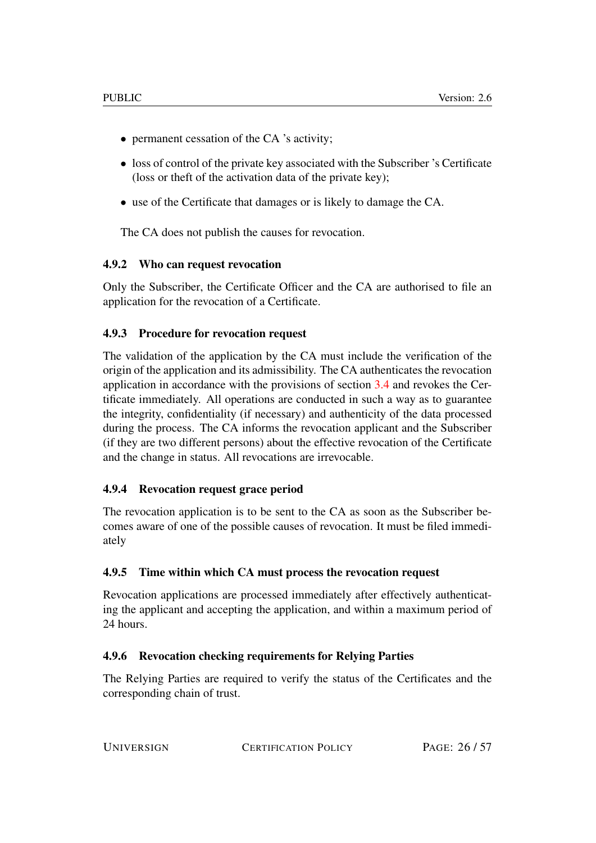- permanent cessation of the CA 's activity;
- loss of control of the private key associated with the Subscriber 's Certificate (loss or theft of the activation data of the private key);
- use of the Certificate that damages or is likely to damage the CA.

The CA does not publish the causes for revocation.

#### <span id="page-25-0"></span>4.9.2 Who can request revocation

Only the Subscriber, the Certificate Officer and the CA are authorised to file an application for the revocation of a Certificate.

#### <span id="page-25-1"></span>4.9.3 Procedure for revocation request

The validation of the application by the CA must include the verification of the origin of the application and its admissibility. The CA authenticates the revocation application in accordance with the provisions of section [3.4](#page-19-6) and revokes the Certificate immediately. All operations are conducted in such a way as to guarantee the integrity, confidentiality (if necessary) and authenticity of the data processed during the process. The CA informs the revocation applicant and the Subscriber (if they are two different persons) about the effective revocation of the Certificate and the change in status. All revocations are irrevocable.

#### <span id="page-25-2"></span>4.9.4 Revocation request grace period

The revocation application is to be sent to the CA as soon as the Subscriber becomes aware of one of the possible causes of revocation. It must be filed immediately

#### <span id="page-25-3"></span>4.9.5 Time within which CA must process the revocation request

Revocation applications are processed immediately after effectively authenticating the applicant and accepting the application, and within a maximum period of 24 hours.

#### <span id="page-25-4"></span>4.9.6 Revocation checking requirements for Relying Parties

The Relying Parties are required to verify the status of the Certificates and the corresponding chain of trust.

| PAGE: 26/57 |
|-------------|
|             |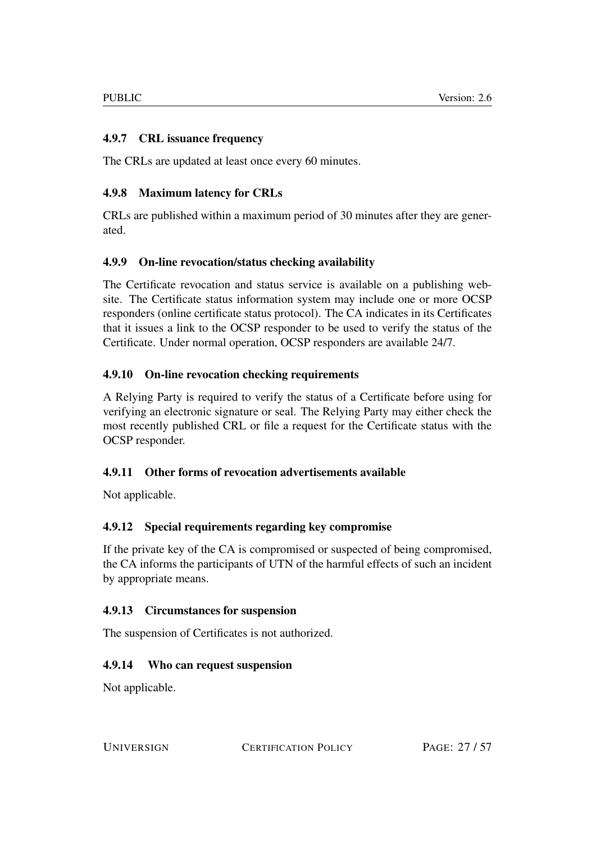#### <span id="page-26-0"></span>4.9.7 CRL issuance frequency

The CRLs are updated at least once every 60 minutes.

#### <span id="page-26-1"></span>4.9.8 Maximum latency for CRLs

CRLs are published within a maximum period of 30 minutes after they are generated.

#### <span id="page-26-2"></span>4.9.9 On-line revocation/status checking availability

The Certificate revocation and status service is available on a publishing website. The Certificate status information system may include one or more OCSP responders (online certificate status protocol). The CA indicates in its Certificates that it issues a link to the OCSP responder to be used to verify the status of the Certificate. Under normal operation, OCSP responders are available 24/7.

#### <span id="page-26-3"></span>4.9.10 On-line revocation checking requirements

A Relying Party is required to verify the status of a Certificate before using for verifying an electronic signature or seal. The Relying Party may either check the most recently published CRL or file a request for the Certificate status with the OCSP responder.

#### <span id="page-26-4"></span>4.9.11 Other forms of revocation advertisements available

Not applicable.

#### <span id="page-26-5"></span>4.9.12 Special requirements regarding key compromise

If the private key of the CA is compromised or suspected of being compromised, the CA informs the participants of UTN of the harmful effects of such an incident by appropriate means.

#### <span id="page-26-6"></span>4.9.13 Circumstances for suspension

The suspension of Certificates is not authorized.

#### <span id="page-26-7"></span>4.9.14 Who can request suspension

Not applicable.

UNIVERSIGN CERTIFICATION POLICY PAGE: 27 / 57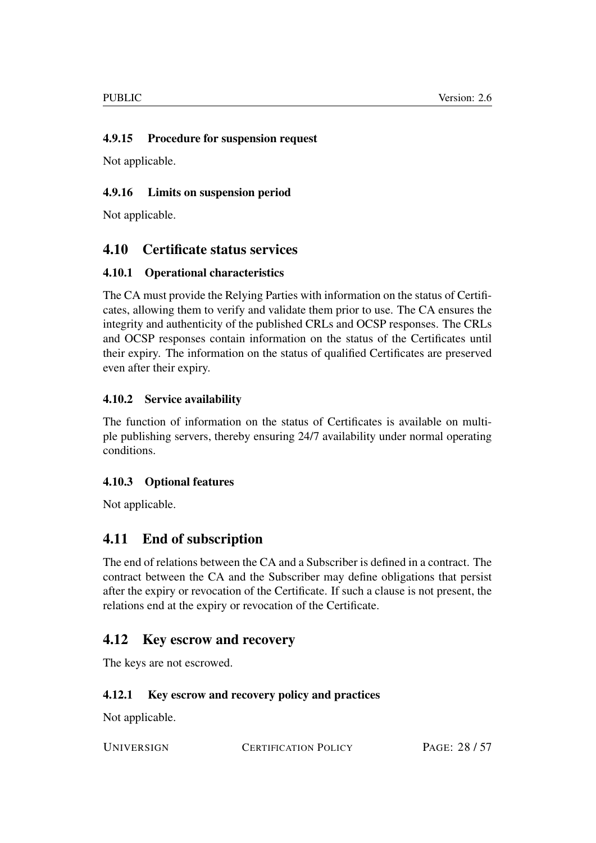#### <span id="page-27-0"></span>4.9.15 Procedure for suspension request

Not applicable.

#### <span id="page-27-1"></span>4.9.16 Limits on suspension period

Not applicable.

# <span id="page-27-2"></span>4.10 Certificate status services

#### <span id="page-27-3"></span>4.10.1 Operational characteristics

The CA must provide the Relying Parties with information on the status of Certificates, allowing them to verify and validate them prior to use. The CA ensures the integrity and authenticity of the published CRLs and OCSP responses. The CRLs and OCSP responses contain information on the status of the Certificates until their expiry. The information on the status of qualified Certificates are preserved even after their expiry.

#### <span id="page-27-4"></span>4.10.2 Service availability

The function of information on the status of Certificates is available on multiple publishing servers, thereby ensuring 24/7 availability under normal operating conditions.

#### <span id="page-27-5"></span>4.10.3 Optional features

Not applicable.

# <span id="page-27-6"></span>4.11 End of subscription

The end of relations between the CA and a Subscriber is defined in a contract. The contract between the CA and the Subscriber may define obligations that persist after the expiry or revocation of the Certificate. If such a clause is not present, the relations end at the expiry or revocation of the Certificate.

# <span id="page-27-7"></span>4.12 Key escrow and recovery

The keys are not escrowed.

#### <span id="page-27-8"></span>4.12.1 Key escrow and recovery policy and practices

Not applicable.

UNIVERSIGN CERTIFICATION POLICY PAGE: 28/57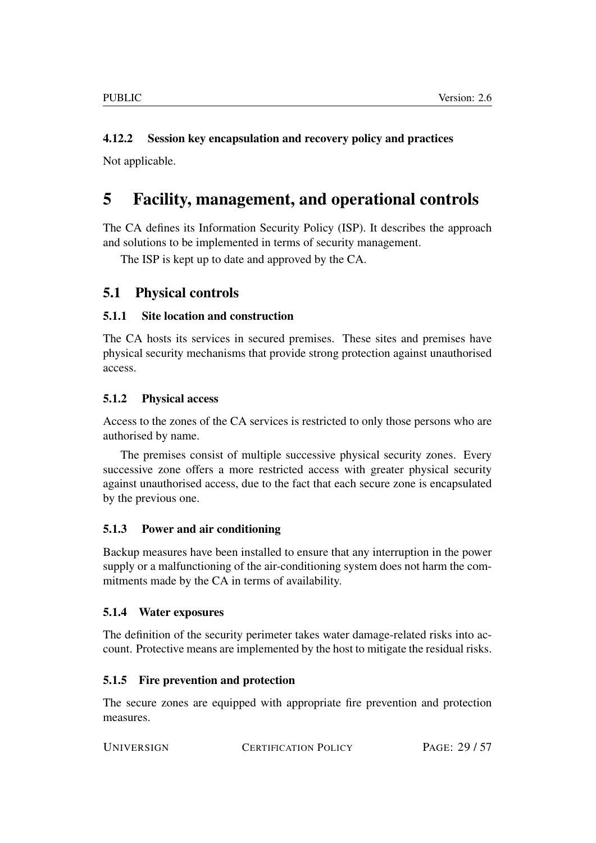# <span id="page-28-0"></span>4.12.2 Session key encapsulation and recovery policy and practices

Not applicable.

# <span id="page-28-1"></span>5 Facility, management, and operational controls

The CA defines its Information Security Policy (ISP). It describes the approach and solutions to be implemented in terms of security management.

The ISP is kept up to date and approved by the CA.

# <span id="page-28-2"></span>5.1 Physical controls

#### <span id="page-28-3"></span>5.1.1 Site location and construction

The CA hosts its services in secured premises. These sites and premises have physical security mechanisms that provide strong protection against unauthorised access.

#### <span id="page-28-4"></span>5.1.2 Physical access

Access to the zones of the CA services is restricted to only those persons who are authorised by name.

The premises consist of multiple successive physical security zones. Every successive zone offers a more restricted access with greater physical security against unauthorised access, due to the fact that each secure zone is encapsulated by the previous one.

#### <span id="page-28-5"></span>5.1.3 Power and air conditioning

Backup measures have been installed to ensure that any interruption in the power supply or a malfunctioning of the air-conditioning system does not harm the commitments made by the CA in terms of availability.

#### <span id="page-28-6"></span>5.1.4 Water exposures

The definition of the security perimeter takes water damage-related risks into account. Protective means are implemented by the host to mitigate the residual risks.

#### <span id="page-28-7"></span>5.1.5 Fire prevention and protection

The secure zones are equipped with appropriate fire prevention and protection measures.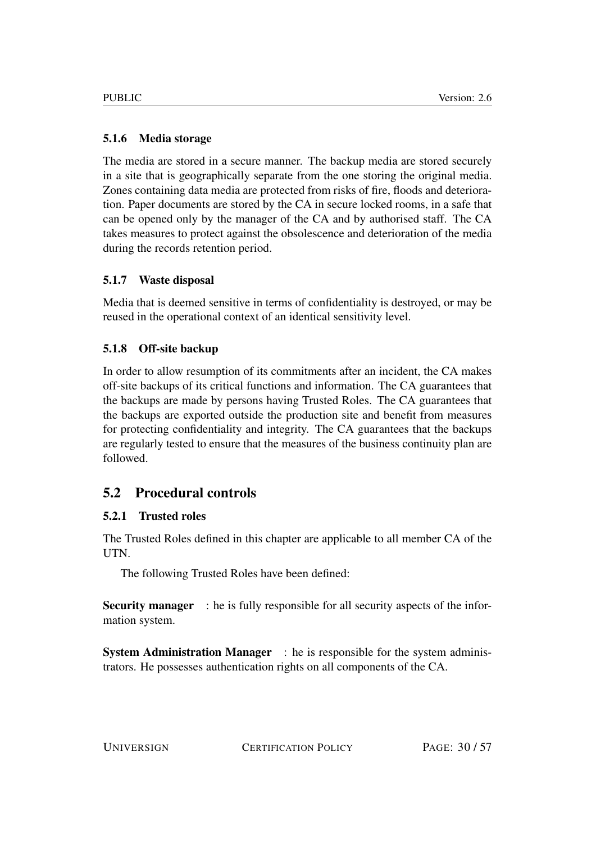# <span id="page-29-0"></span>5.1.6 Media storage

The media are stored in a secure manner. The backup media are stored securely in a site that is geographically separate from the one storing the original media. Zones containing data media are protected from risks of fire, floods and deterioration. Paper documents are stored by the CA in secure locked rooms, in a safe that can be opened only by the manager of the CA and by authorised staff. The CA takes measures to protect against the obsolescence and deterioration of the media during the records retention period.

# <span id="page-29-1"></span>5.1.7 Waste disposal

Media that is deemed sensitive in terms of confidentiality is destroyed, or may be reused in the operational context of an identical sensitivity level.

# <span id="page-29-2"></span>5.1.8 Off-site backup

In order to allow resumption of its commitments after an incident, the CA makes off-site backups of its critical functions and information. The CA guarantees that the backups are made by persons having Trusted Roles. The CA guarantees that the backups are exported outside the production site and benefit from measures for protecting confidentiality and integrity. The CA guarantees that the backups are regularly tested to ensure that the measures of the business continuity plan are followed.

# <span id="page-29-3"></span>5.2 Procedural controls

# <span id="page-29-4"></span>5.2.1 Trusted roles

The Trusted Roles defined in this chapter are applicable to all member CA of the UTN.

The following Trusted Roles have been defined:

Security manager : he is fully responsible for all security aspects of the information system.

System Administration Manager : he is responsible for the system administrators. He possesses authentication rights on all components of the CA.

UNIVERSIGN CERTIFICATION POLICY PAGE: 30/57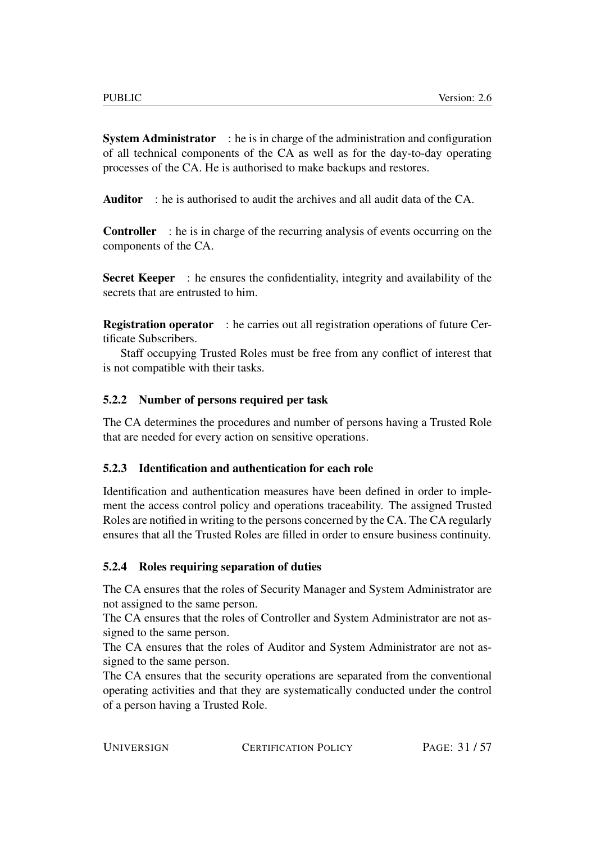System Administrator : he is in charge of the administration and configuration of all technical components of the CA as well as for the day-to-day operating processes of the CA. He is authorised to make backups and restores.

Auditor : he is authorised to audit the archives and all audit data of the CA.

Controller : he is in charge of the recurring analysis of events occurring on the components of the CA.

Secret Keeper : he ensures the confidentiality, integrity and availability of the secrets that are entrusted to him.

**Registration operator** : he carries out all registration operations of future Certificate Subscribers.

Staff occupying Trusted Roles must be free from any conflict of interest that is not compatible with their tasks.

#### <span id="page-30-0"></span>5.2.2 Number of persons required per task

The CA determines the procedures and number of persons having a Trusted Role that are needed for every action on sensitive operations.

#### <span id="page-30-1"></span>5.2.3 Identification and authentication for each role

Identification and authentication measures have been defined in order to implement the access control policy and operations traceability. The assigned Trusted Roles are notified in writing to the persons concerned by the CA. The CA regularly ensures that all the Trusted Roles are filled in order to ensure business continuity.

#### <span id="page-30-2"></span>5.2.4 Roles requiring separation of duties

The CA ensures that the roles of Security Manager and System Administrator are not assigned to the same person.

The CA ensures that the roles of Controller and System Administrator are not assigned to the same person.

The CA ensures that the roles of Auditor and System Administrator are not assigned to the same person.

The CA ensures that the security operations are separated from the conventional operating activities and that they are systematically conducted under the control of a person having a Trusted Role.

UNIVERSIGN CERTIFICATION POLICY PAGE: 31/57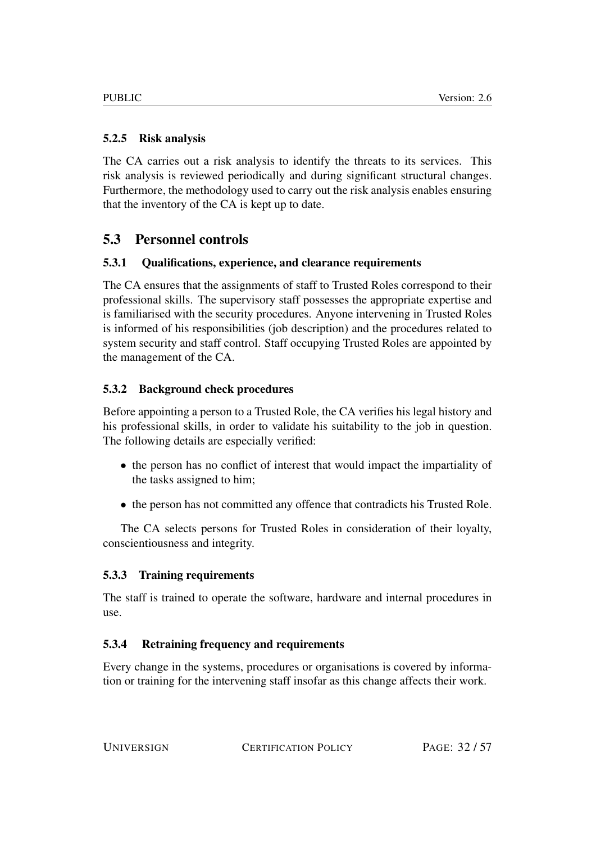### <span id="page-31-0"></span>5.2.5 Risk analysis

The CA carries out a risk analysis to identify the threats to its services. This risk analysis is reviewed periodically and during significant structural changes. Furthermore, the methodology used to carry out the risk analysis enables ensuring that the inventory of the CA is kept up to date.

# <span id="page-31-1"></span>5.3 Personnel controls

# <span id="page-31-2"></span>5.3.1 Qualifications, experience, and clearance requirements

The CA ensures that the assignments of staff to Trusted Roles correspond to their professional skills. The supervisory staff possesses the appropriate expertise and is familiarised with the security procedures. Anyone intervening in Trusted Roles is informed of his responsibilities (job description) and the procedures related to system security and staff control. Staff occupying Trusted Roles are appointed by the management of the CA.

# <span id="page-31-3"></span>5.3.2 Background check procedures

Before appointing a person to a Trusted Role, the CA verifies his legal history and his professional skills, in order to validate his suitability to the job in question. The following details are especially verified:

- the person has no conflict of interest that would impact the impartiality of the tasks assigned to him;
- the person has not committed any offence that contradicts his Trusted Role.

The CA selects persons for Trusted Roles in consideration of their loyalty, conscientiousness and integrity.

#### <span id="page-31-4"></span>5.3.3 Training requirements

The staff is trained to operate the software, hardware and internal procedures in use.

# <span id="page-31-5"></span>5.3.4 Retraining frequency and requirements

Every change in the systems, procedures or organisations is covered by information or training for the intervening staff insofar as this change affects their work.

UNIVERSIGN CERTIFICATION POLICY PAGE: 32/57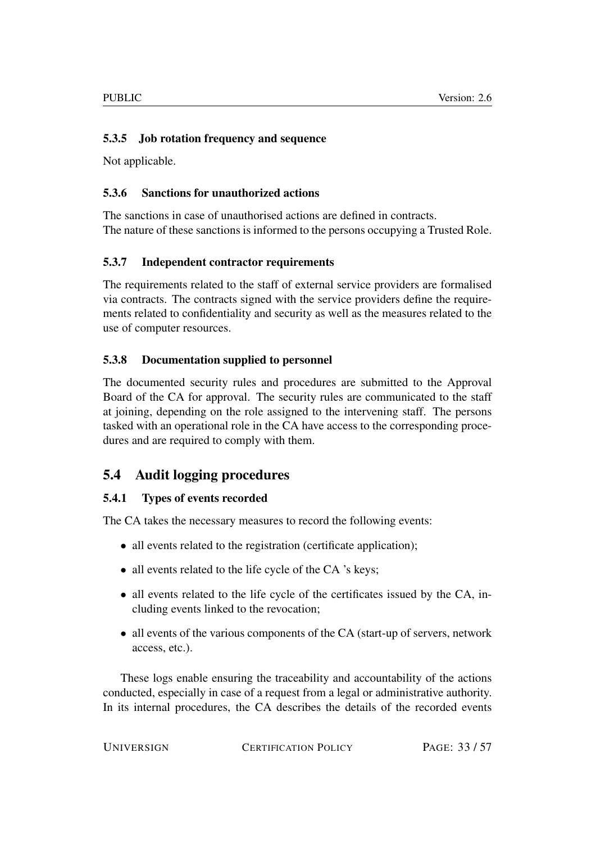#### <span id="page-32-0"></span>5.3.5 Job rotation frequency and sequence

Not applicable.

#### <span id="page-32-1"></span>5.3.6 Sanctions for unauthorized actions

The sanctions in case of unauthorised actions are defined in contracts. The nature of these sanctions is informed to the persons occupying a Trusted Role.

#### <span id="page-32-2"></span>5.3.7 Independent contractor requirements

The requirements related to the staff of external service providers are formalised via contracts. The contracts signed with the service providers define the requirements related to confidentiality and security as well as the measures related to the use of computer resources.

#### <span id="page-32-3"></span>5.3.8 Documentation supplied to personnel

The documented security rules and procedures are submitted to the Approval Board of the CA for approval. The security rules are communicated to the staff at joining, depending on the role assigned to the intervening staff. The persons tasked with an operational role in the CA have access to the corresponding procedures and are required to comply with them.

# <span id="page-32-4"></span>5.4 Audit logging procedures

#### <span id="page-32-5"></span>5.4.1 Types of events recorded

The CA takes the necessary measures to record the following events:

- all events related to the registration (certificate application);
- all events related to the life cycle of the CA 's keys;
- all events related to the life cycle of the certificates issued by the CA, including events linked to the revocation;
- all events of the various components of the CA (start-up of servers, network access, etc.).

These logs enable ensuring the traceability and accountability of the actions conducted, especially in case of a request from a legal or administrative authority. In its internal procedures, the CA describes the details of the recorded events

UNIVERSIGN CERTIFICATION POLICY PAGE: 33/57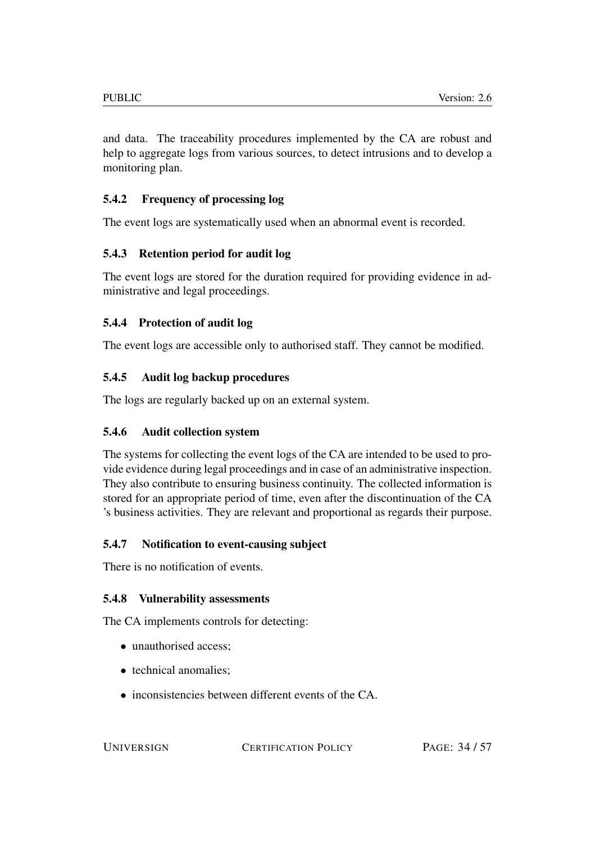and data. The traceability procedures implemented by the CA are robust and help to aggregate logs from various sources, to detect intrusions and to develop a monitoring plan.

# <span id="page-33-0"></span>5.4.2 Frequency of processing log

The event logs are systematically used when an abnormal event is recorded.

# <span id="page-33-1"></span>5.4.3 Retention period for audit log

The event logs are stored for the duration required for providing evidence in administrative and legal proceedings.

# <span id="page-33-2"></span>5.4.4 Protection of audit log

The event logs are accessible only to authorised staff. They cannot be modified.

# <span id="page-33-3"></span>5.4.5 Audit log backup procedures

The logs are regularly backed up on an external system.

# <span id="page-33-4"></span>5.4.6 Audit collection system

The systems for collecting the event logs of the CA are intended to be used to provide evidence during legal proceedings and in case of an administrative inspection. They also contribute to ensuring business continuity. The collected information is stored for an appropriate period of time, even after the discontinuation of the CA 's business activities. They are relevant and proportional as regards their purpose.

#### <span id="page-33-5"></span>5.4.7 Notification to event-causing subject

There is no notification of events.

#### <span id="page-33-6"></span>5.4.8 Vulnerability assessments

The CA implements controls for detecting:

- unauthorised access:
- technical anomalies;
- inconsistencies between different events of the CA.

UNIVERSIGN CERTIFICATION POLICY PAGE: 34 / 57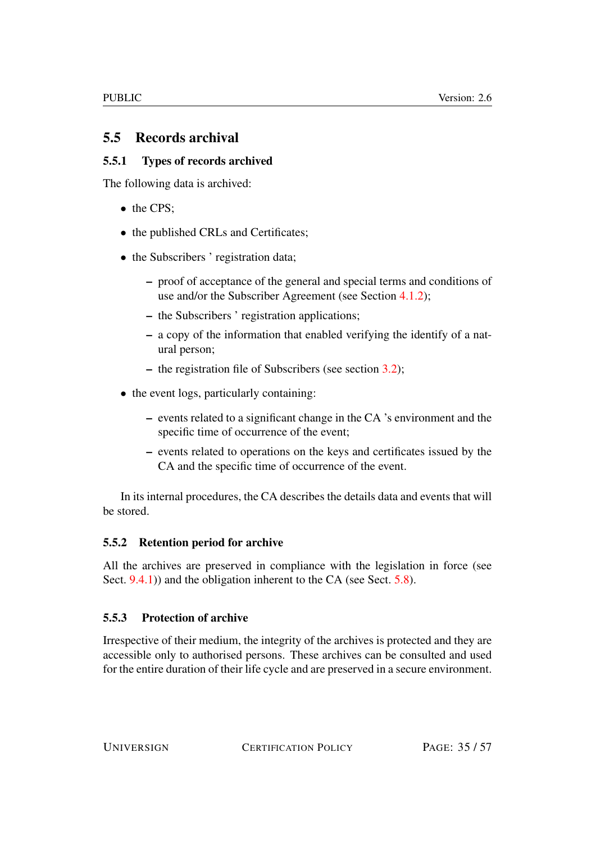# <span id="page-34-0"></span>5.5 Records archival

# <span id="page-34-1"></span>5.5.1 Types of records archived

The following data is archived:

- the CPS:
- the published CRLs and Certificates;
- the Subscribers ' registration data;
	- proof of acceptance of the general and special terms and conditions of use and/or the Subscriber Agreement (see Section [4.1.2\)](#page-20-0);
	- the Subscribers ' registration applications;
	- a copy of the information that enabled verifying the identify of a natural person;
	- the registration file of Subscribers (see section [3.2\)](#page-18-3);
- the event logs, particularly containing:
	- events related to a significant change in the CA 's environment and the specific time of occurrence of the event;
	- events related to operations on the keys and certificates issued by the CA and the specific time of occurrence of the event.

In its internal procedures, the CA describes the details data and events that will be stored.

#### <span id="page-34-2"></span>5.5.2 Retention period for archive

All the archives are preserved in compliance with the legislation in force (see Sect. [9.4.1\)](#page-49-2)) and the obligation inherent to the CA (see Sect. [5.8\)](#page-36-3).

#### <span id="page-34-3"></span>5.5.3 Protection of archive

Irrespective of their medium, the integrity of the archives is protected and they are accessible only to authorised persons. These archives can be consulted and used for the entire duration of their life cycle and are preserved in a secure environment.

UNIVERSIGN CERTIFICATION POLICY PAGE: 35/57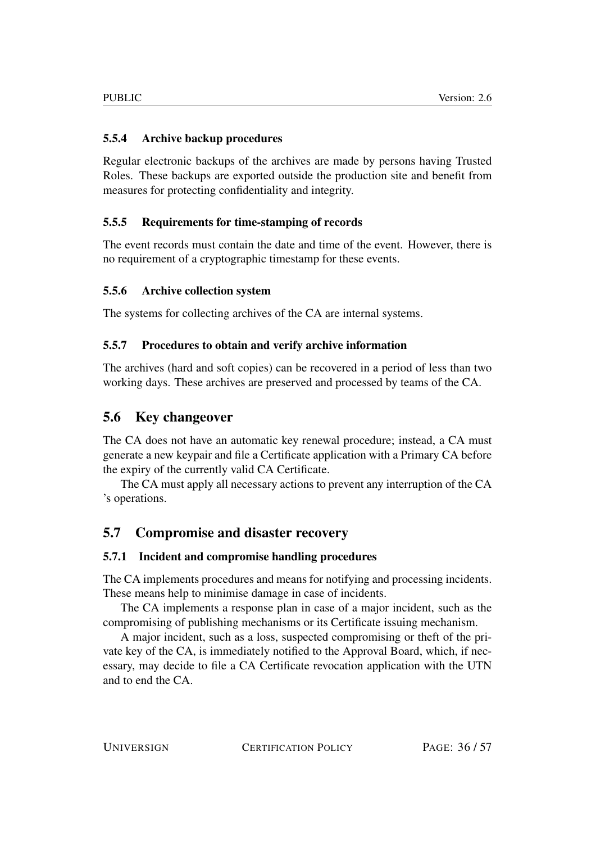#### <span id="page-35-0"></span>5.5.4 Archive backup procedures

Regular electronic backups of the archives are made by persons having Trusted Roles. These backups are exported outside the production site and benefit from measures for protecting confidentiality and integrity.

#### <span id="page-35-1"></span>5.5.5 Requirements for time-stamping of records

The event records must contain the date and time of the event. However, there is no requirement of a cryptographic timestamp for these events.

#### <span id="page-35-2"></span>5.5.6 Archive collection system

The systems for collecting archives of the CA are internal systems.

#### <span id="page-35-3"></span>5.5.7 Procedures to obtain and verify archive information

The archives (hard and soft copies) can be recovered in a period of less than two working days. These archives are preserved and processed by teams of the CA.

# <span id="page-35-4"></span>5.6 Key changeover

The CA does not have an automatic key renewal procedure; instead, a CA must generate a new keypair and file a Certificate application with a Primary CA before the expiry of the currently valid CA Certificate.

The CA must apply all necessary actions to prevent any interruption of the CA 's operations.

# <span id="page-35-5"></span>5.7 Compromise and disaster recovery

#### <span id="page-35-6"></span>5.7.1 Incident and compromise handling procedures

The CA implements procedures and means for notifying and processing incidents. These means help to minimise damage in case of incidents.

The CA implements a response plan in case of a major incident, such as the compromising of publishing mechanisms or its Certificate issuing mechanism.

A major incident, such as a loss, suspected compromising or theft of the private key of the CA, is immediately notified to the Approval Board, which, if necessary, may decide to file a CA Certificate revocation application with the UTN and to end the CA.

UNIVERSIGN CERTIFICATION POLICY PAGE: 36/57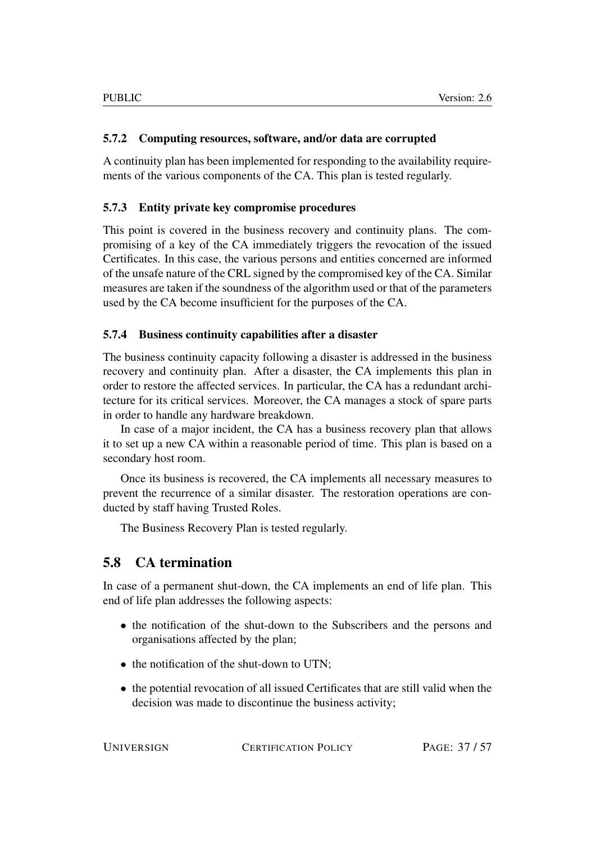#### <span id="page-36-0"></span>5.7.2 Computing resources, software, and/or data are corrupted

A continuity plan has been implemented for responding to the availability requirements of the various components of the CA. This plan is tested regularly.

#### <span id="page-36-1"></span>5.7.3 Entity private key compromise procedures

This point is covered in the business recovery and continuity plans. The compromising of a key of the CA immediately triggers the revocation of the issued Certificates. In this case, the various persons and entities concerned are informed of the unsafe nature of the CRL signed by the compromised key of the CA. Similar measures are taken if the soundness of the algorithm used or that of the parameters used by the CA become insufficient for the purposes of the CA.

#### <span id="page-36-2"></span>5.7.4 Business continuity capabilities after a disaster

The business continuity capacity following a disaster is addressed in the business recovery and continuity plan. After a disaster, the CA implements this plan in order to restore the affected services. In particular, the CA has a redundant architecture for its critical services. Moreover, the CA manages a stock of spare parts in order to handle any hardware breakdown.

In case of a major incident, the CA has a business recovery plan that allows it to set up a new CA within a reasonable period of time. This plan is based on a secondary host room.

Once its business is recovered, the CA implements all necessary measures to prevent the recurrence of a similar disaster. The restoration operations are conducted by staff having Trusted Roles.

The Business Recovery Plan is tested regularly.

# <span id="page-36-3"></span>5.8 CA termination

In case of a permanent shut-down, the CA implements an end of life plan. This end of life plan addresses the following aspects:

- the notification of the shut-down to the Subscribers and the persons and organisations affected by the plan;
- the notification of the shut-down to UTN;
- the potential revocation of all issued Certificates that are still valid when the decision was made to discontinue the business activity;

UNIVERSIGN CERTIFICATION POLICY PAGE: 37/57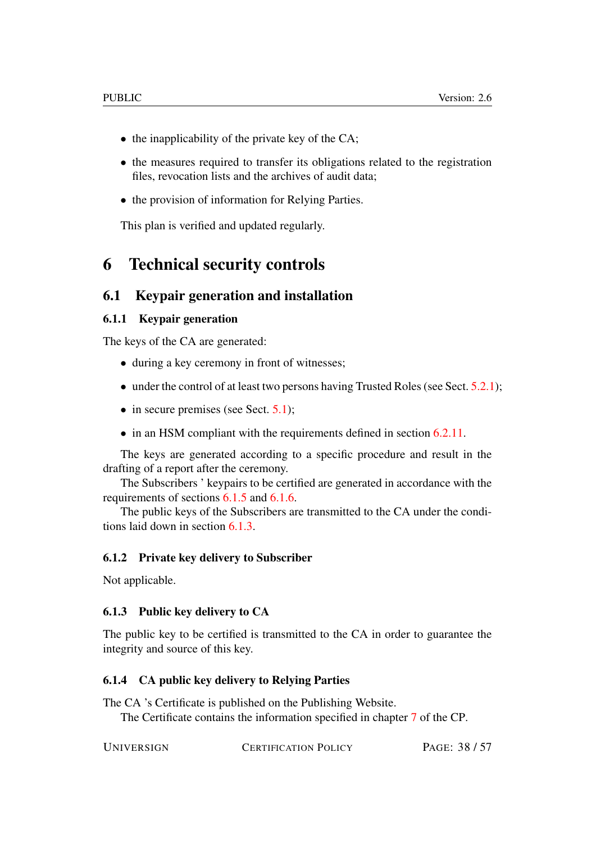- the inapplicability of the private key of the CA;
- the measures required to transfer its obligations related to the registration files, revocation lists and the archives of audit data;
- the provision of information for Relying Parties.

This plan is verified and updated regularly.

# <span id="page-37-0"></span>6 Technical security controls

#### <span id="page-37-1"></span>6.1 Keypair generation and installation

#### <span id="page-37-2"></span>6.1.1 Keypair generation

The keys of the CA are generated:

- during a key ceremony in front of witnesses;
- under the control of at least two persons having Trusted Roles (see Sect. [5.2.1\)](#page-29-4);
- in secure premises (see Sect. [5.1\)](#page-28-2);
- in an HSM compliant with the requirements defined in section [6.2.11.](#page-40-5)

The keys are generated according to a specific procedure and result in the drafting of a report after the ceremony.

The Subscribers ' keypairs to be certified are generated in accordance with the requirements of sections [6.1.5](#page-38-0) and [6.1.6.](#page-38-1)

The public keys of the Subscribers are transmitted to the CA under the conditions laid down in section [6.1.3.](#page-37-4)

#### <span id="page-37-3"></span>6.1.2 Private key delivery to Subscriber

Not applicable.

#### <span id="page-37-4"></span>6.1.3 Public key delivery to CA

The public key to be certified is transmitted to the CA in order to guarantee the integrity and source of this key.

#### <span id="page-37-5"></span>6.1.4 CA public key delivery to Relying Parties

The CA 's Certificate is published on the Publishing Website.

The Certificate contains the information specified in chapter [7](#page-44-1) of the CP.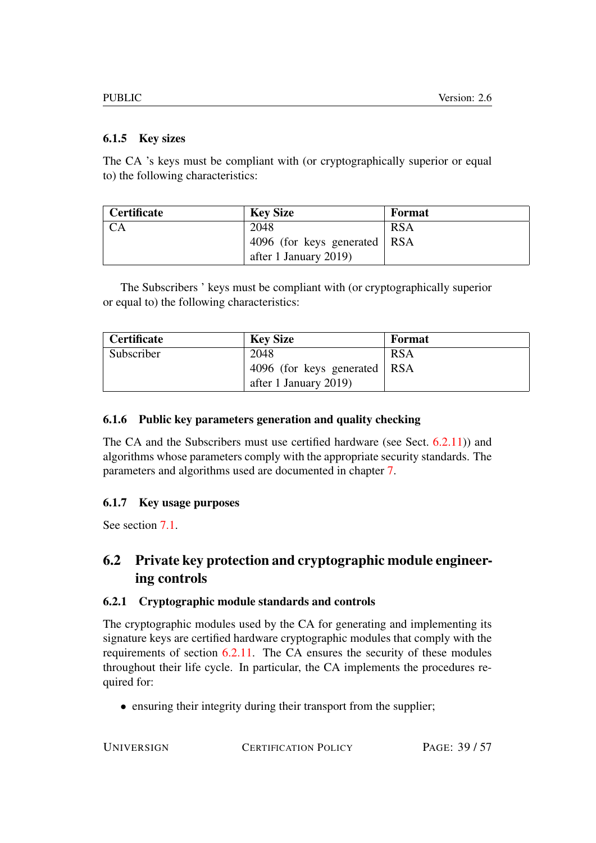#### <span id="page-38-0"></span>6.1.5 Key sizes

The CA 's keys must be compliant with (or cryptographically superior or equal to) the following characteristics:

| <b>Certificate</b> | <b>Key Size</b>                  | <b>Format</b> |
|--------------------|----------------------------------|---------------|
|                    | 2048                             | <b>RSA</b>    |
|                    | 4096 (for keys generated $ $ RSA |               |
|                    | after 1 January 2019)            |               |

The Subscribers ' keys must be compliant with (or cryptographically superior or equal to) the following characteristics:

| <b>Certificate</b> | <b>Key Size</b>                | Format     |
|--------------------|--------------------------------|------------|
| Subscriber         | 2048                           | <b>RSA</b> |
|                    | 4096 (for keys generated   RSA |            |
|                    | after 1 January 2019)          |            |

#### <span id="page-38-1"></span>6.1.6 Public key parameters generation and quality checking

The CA and the Subscribers must use certified hardware (see Sect. [6.2.11\)](#page-40-5)) and algorithms whose parameters comply with the appropriate security standards. The parameters and algorithms used are documented in chapter [7.](#page-44-1)

#### <span id="page-38-2"></span>6.1.7 Key usage purposes

See section [7.1.](#page-44-2)

# <span id="page-38-3"></span>6.2 Private key protection and cryptographic module engineering controls

#### <span id="page-38-4"></span>6.2.1 Cryptographic module standards and controls

The cryptographic modules used by the CA for generating and implementing its signature keys are certified hardware cryptographic modules that comply with the requirements of section [6.2.11.](#page-40-5) The CA ensures the security of these modules throughout their life cycle. In particular, the CA implements the procedures required for:

• ensuring their integrity during their transport from the supplier;

UNIVERSIGN CERTIFICATION POLICY PAGE: 39 / 57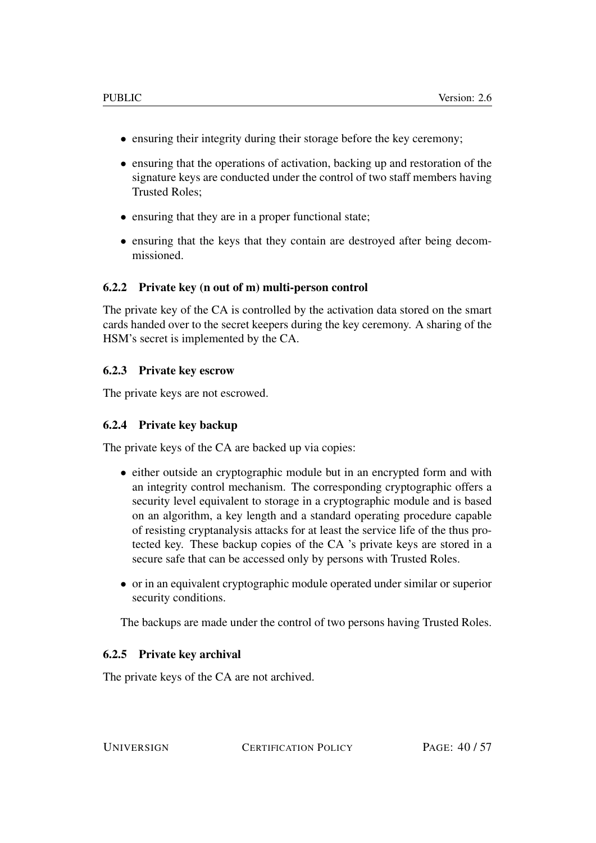- ensuring their integrity during their storage before the key ceremony;
- ensuring that the operations of activation, backing up and restoration of the signature keys are conducted under the control of two staff members having Trusted Roles;
- ensuring that they are in a proper functional state;
- ensuring that the keys that they contain are destroyed after being decommissioned.

#### <span id="page-39-0"></span>6.2.2 Private key (n out of m) multi-person control

The private key of the CA is controlled by the activation data stored on the smart cards handed over to the secret keepers during the key ceremony. A sharing of the HSM's secret is implemented by the CA.

#### <span id="page-39-1"></span>6.2.3 Private key escrow

The private keys are not escrowed.

#### <span id="page-39-2"></span>6.2.4 Private key backup

The private keys of the CA are backed up via copies:

- either outside an cryptographic module but in an encrypted form and with an integrity control mechanism. The corresponding cryptographic offers a security level equivalent to storage in a cryptographic module and is based on an algorithm, a key length and a standard operating procedure capable of resisting cryptanalysis attacks for at least the service life of the thus protected key. These backup copies of the CA 's private keys are stored in a secure safe that can be accessed only by persons with Trusted Roles.
- or in an equivalent cryptographic module operated under similar or superior security conditions.

The backups are made under the control of two persons having Trusted Roles.

#### <span id="page-39-3"></span>6.2.5 Private key archival

The private keys of the CA are not archived.

UNIVERSIGN CERTIFICATION POLICY PAGE: 40/57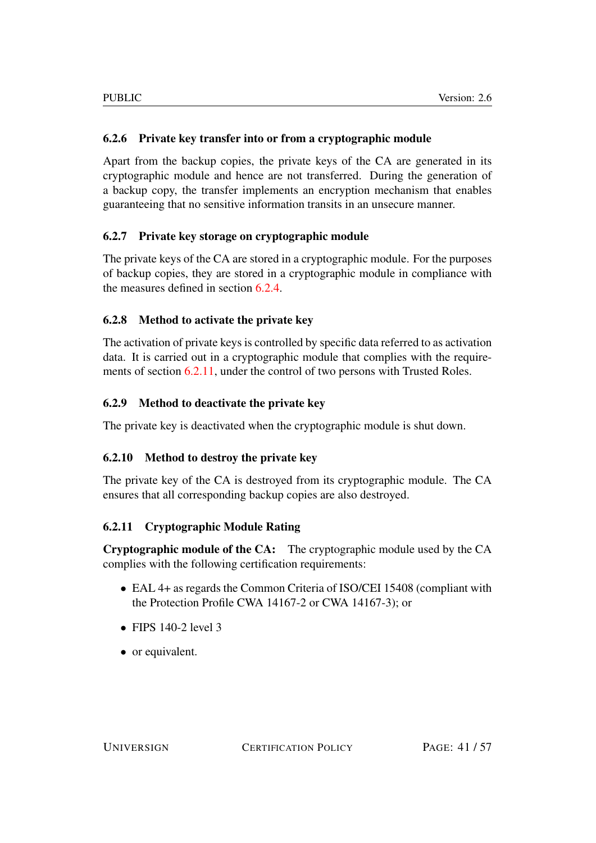#### <span id="page-40-0"></span>6.2.6 Private key transfer into or from a cryptographic module

Apart from the backup copies, the private keys of the CA are generated in its cryptographic module and hence are not transferred. During the generation of a backup copy, the transfer implements an encryption mechanism that enables guaranteeing that no sensitive information transits in an unsecure manner.

#### <span id="page-40-1"></span>6.2.7 Private key storage on cryptographic module

The private keys of the CA are stored in a cryptographic module. For the purposes of backup copies, they are stored in a cryptographic module in compliance with the measures defined in section [6.2.4.](#page-39-2)

#### <span id="page-40-2"></span>6.2.8 Method to activate the private key

The activation of private keys is controlled by specific data referred to as activation data. It is carried out in a cryptographic module that complies with the requirements of section [6.2.11,](#page-40-5) under the control of two persons with Trusted Roles.

#### <span id="page-40-3"></span>6.2.9 Method to deactivate the private key

The private key is deactivated when the cryptographic module is shut down.

#### <span id="page-40-4"></span>6.2.10 Method to destroy the private key

The private key of the CA is destroyed from its cryptographic module. The CA ensures that all corresponding backup copies are also destroyed.

#### <span id="page-40-5"></span>6.2.11 Cryptographic Module Rating

Cryptographic module of the CA: The cryptographic module used by the CA complies with the following certification requirements:

- EAL 4+ as regards the Common Criteria of ISO/CEI 15408 (compliant with the Protection Profile CWA 14167-2 or CWA 14167-3); or
- FIPS  $140-2$  level 3
- or equivalent.

UNIVERSIGN CERTIFICATION POLICY PAGE: 41/57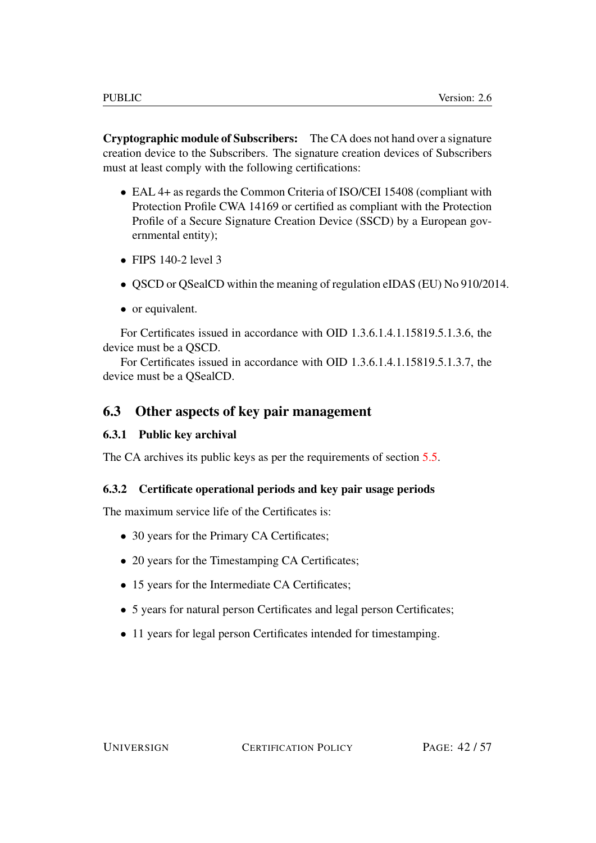Cryptographic module of Subscribers: The CA does not hand over a signature creation device to the Subscribers. The signature creation devices of Subscribers must at least comply with the following certifications:

- EAL 4+ as regards the Common Criteria of ISO/CEI 15408 (compliant with Protection Profile CWA 14169 or certified as compliant with the Protection Profile of a Secure Signature Creation Device (SSCD) by a European governmental entity);
- $\bullet$  FIPS 140-2 level 3
- QSCD or QSealCD within the meaning of regulation eIDAS (EU) No 910/2014.
- or equivalent.

For Certificates issued in accordance with OID 1.3.6.1.4.1.15819.5.1.3.6, the device must be a QSCD.

For Certificates issued in accordance with OID 1.3.6.1.4.1.15819.5.1.3.7, the device must be a QSealCD.

# <span id="page-41-0"></span>6.3 Other aspects of key pair management

#### <span id="page-41-1"></span>6.3.1 Public key archival

The CA archives its public keys as per the requirements of section [5.5.](#page-34-0)

#### <span id="page-41-2"></span>6.3.2 Certificate operational periods and key pair usage periods

The maximum service life of the Certificates is:

- 30 years for the Primary CA Certificates;
- 20 years for the Timestamping CA Certificates;
- 15 years for the Intermediate CA Certificates;
- 5 years for natural person Certificates and legal person Certificates;
- 11 years for legal person Certificates intended for timestamping.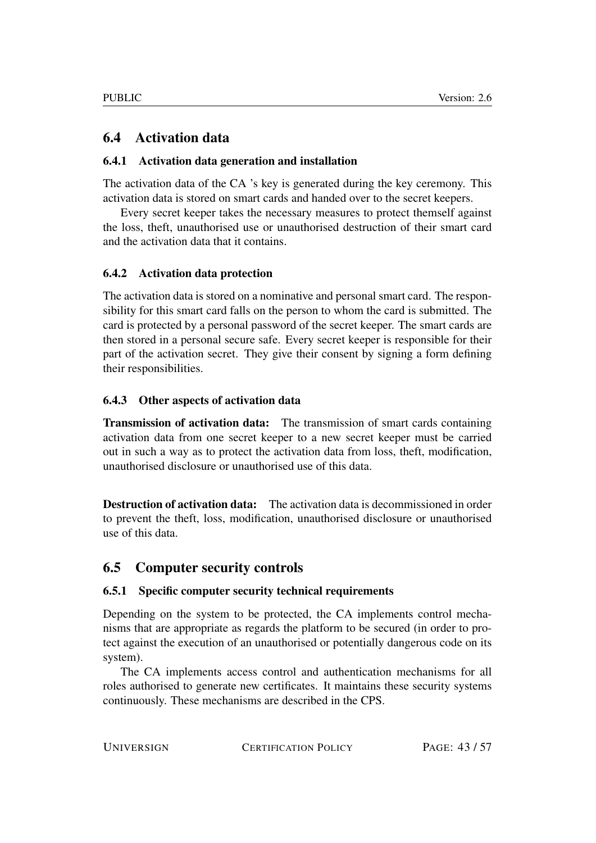# <span id="page-42-0"></span>6.4 Activation data

#### <span id="page-42-1"></span>6.4.1 Activation data generation and installation

The activation data of the CA 's key is generated during the key ceremony. This activation data is stored on smart cards and handed over to the secret keepers.

Every secret keeper takes the necessary measures to protect themself against the loss, theft, unauthorised use or unauthorised destruction of their smart card and the activation data that it contains.

#### <span id="page-42-2"></span>6.4.2 Activation data protection

The activation data is stored on a nominative and personal smart card. The responsibility for this smart card falls on the person to whom the card is submitted. The card is protected by a personal password of the secret keeper. The smart cards are then stored in a personal secure safe. Every secret keeper is responsible for their part of the activation secret. They give their consent by signing a form defining their responsibilities.

#### <span id="page-42-3"></span>6.4.3 Other aspects of activation data

Transmission of activation data: The transmission of smart cards containing activation data from one secret keeper to a new secret keeper must be carried out in such a way as to protect the activation data from loss, theft, modification, unauthorised disclosure or unauthorised use of this data.

Destruction of activation data: The activation data is decommissioned in order to prevent the theft, loss, modification, unauthorised disclosure or unauthorised use of this data.

# <span id="page-42-4"></span>6.5 Computer security controls

#### <span id="page-42-5"></span>6.5.1 Specific computer security technical requirements

Depending on the system to be protected, the CA implements control mechanisms that are appropriate as regards the platform to be secured (in order to protect against the execution of an unauthorised or potentially dangerous code on its system).

The CA implements access control and authentication mechanisms for all roles authorised to generate new certificates. It maintains these security systems continuously. These mechanisms are described in the CPS.

UNIVERSIGN CERTIFICATION POLICY PAGE: 43/57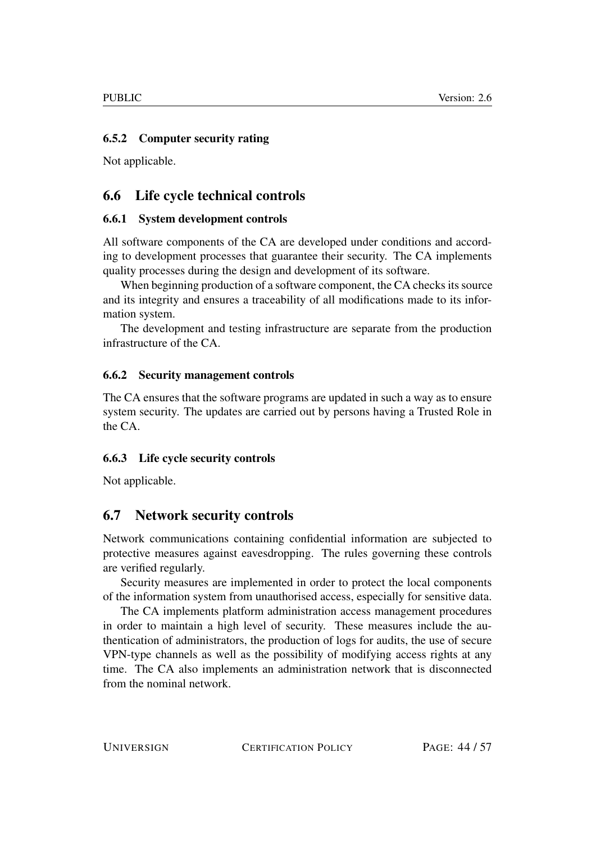#### <span id="page-43-0"></span>6.5.2 Computer security rating

Not applicable.

# <span id="page-43-1"></span>6.6 Life cycle technical controls

#### <span id="page-43-2"></span>6.6.1 System development controls

All software components of the CA are developed under conditions and according to development processes that guarantee their security. The CA implements quality processes during the design and development of its software.

When beginning production of a software component, the CA checks its source and its integrity and ensures a traceability of all modifications made to its information system.

The development and testing infrastructure are separate from the production infrastructure of the CA.

#### <span id="page-43-3"></span>6.6.2 Security management controls

The CA ensures that the software programs are updated in such a way as to ensure system security. The updates are carried out by persons having a Trusted Role in the CA.

#### <span id="page-43-4"></span>6.6.3 Life cycle security controls

Not applicable.

# <span id="page-43-5"></span>6.7 Network security controls

Network communications containing confidential information are subjected to protective measures against eavesdropping. The rules governing these controls are verified regularly.

Security measures are implemented in order to protect the local components of the information system from unauthorised access, especially for sensitive data.

The CA implements platform administration access management procedures in order to maintain a high level of security. These measures include the authentication of administrators, the production of logs for audits, the use of secure VPN-type channels as well as the possibility of modifying access rights at any time. The CA also implements an administration network that is disconnected from the nominal network.

UNIVERSIGN CERTIFICATION POLICY PAGE: 44/57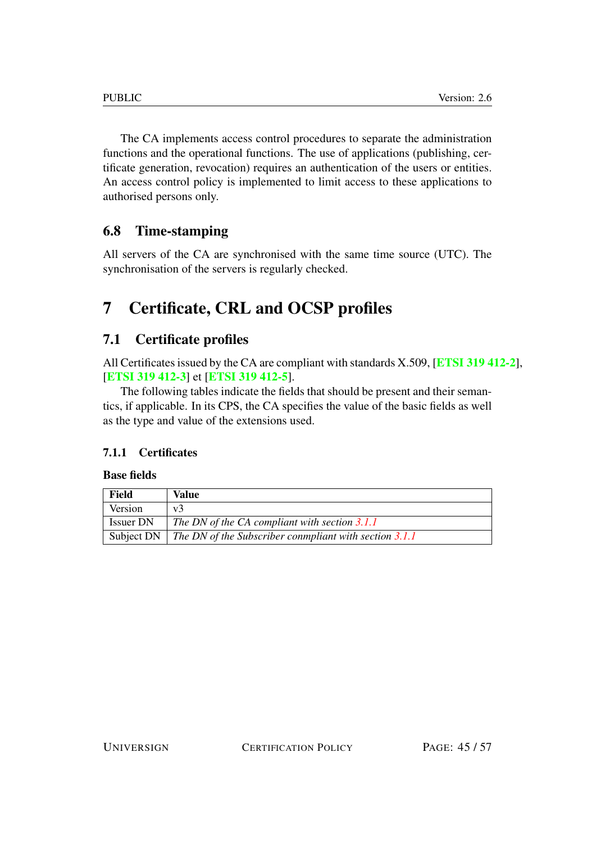The CA implements access control procedures to separate the administration functions and the operational functions. The use of applications (publishing, certificate generation, revocation) requires an authentication of the users or entities. An access control policy is implemented to limit access to these applications to authorised persons only.

# <span id="page-44-0"></span>6.8 Time-stamping

All servers of the CA are synchronised with the same time source (UTC). The synchronisation of the servers is regularly checked.

# <span id="page-44-1"></span>7 Certificate, CRL and OCSP profiles

# <span id="page-44-2"></span>7.1 Certificate profiles

All Certificates issued by the CA are compliant with standards X.509, [[ETSI 319 412-2](#page-56-0)], [[ETSI 319 412-3](#page-56-1)] et [[ETSI 319 412-5](#page-56-2)].

The following tables indicate the fields that should be present and their semantics, if applicable. In its CPS, the CA specifies the value of the basic fields as well as the type and value of the extensions used.

# <span id="page-44-3"></span>7.1.1 Certificates

#### Base fields

| Field            | Value                                                                         |
|------------------|-------------------------------------------------------------------------------|
| Version          | v <sup>3</sup>                                                                |
| <b>Issuer DN</b> | The DN of the CA compliant with section 3.1.1                                 |
|                  | Subject DN $\parallel$ The DN of the Subscriber conmpliant with section 3.1.1 |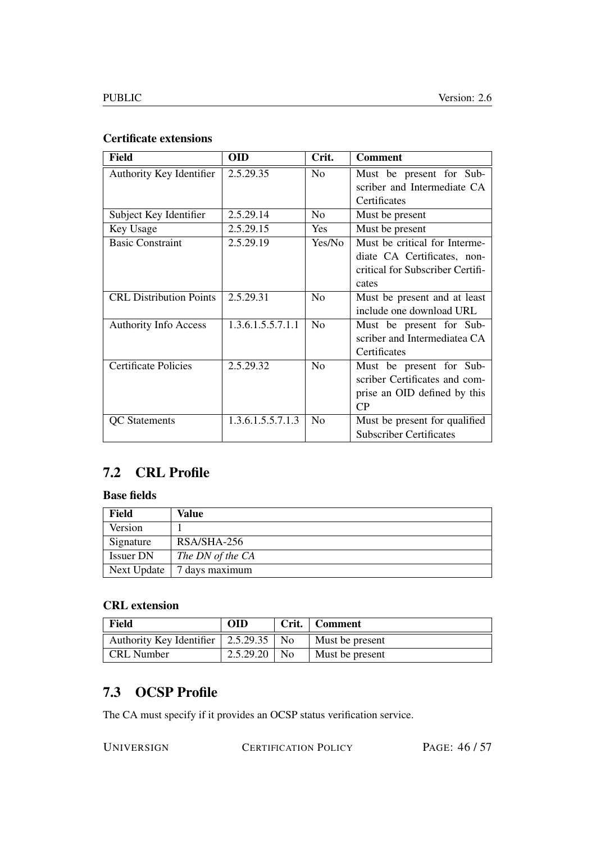#### Certificate extensions

| <b>Field</b>                   | <b>OID</b>        | Crit.          | <b>Comment</b>                   |
|--------------------------------|-------------------|----------------|----------------------------------|
| Authority Key Identifier       | 2.5.29.35         | N <sub>o</sub> | Must be present for Sub-         |
|                                |                   |                | scriber and Intermediate CA      |
|                                |                   |                | Certificates                     |
| Subject Key Identifier         | 2.5.29.14         | N <sub>0</sub> | Must be present                  |
| Key Usage                      | 2.5.29.15         | <b>Yes</b>     | Must be present                  |
| <b>Basic Constraint</b>        | 2.5.29.19         | Yes/No         | Must be critical for Interme-    |
|                                |                   |                | diate CA Certificates, non-      |
|                                |                   |                | critical for Subscriber Certifi- |
|                                |                   |                | cates                            |
| <b>CRL Distribution Points</b> | 2.5.29.31         | No             | Must be present and at least     |
|                                |                   |                | include one download URL         |
| <b>Authority Info Access</b>   | 1.3.6.1.5.5.7.1.1 | N <sub>0</sub> | Must be present for Sub-         |
|                                |                   |                | scriber and Intermediatea CA     |
|                                |                   |                | Certificates                     |
| Certificate Policies           | 2.5.29.32         | No             | Must be present for Sub-         |
|                                |                   |                | scriber Certificates and com-    |
|                                |                   |                | prise an OID defined by this     |
|                                |                   |                | CP                               |
| <b>QC</b> Statements           | 1.3.6.1.5.5.7.1.3 | No             | Must be present for qualified    |
|                                |                   |                | <b>Subscriber Certificates</b>   |

# <span id="page-45-0"></span>7.2 CRL Profile

#### Base fields

| Field            | Value            |
|------------------|------------------|
| Version          |                  |
| Signature        | RSA/SHA-256      |
| <b>Issuer DN</b> | The DN of the CA |
| Next Update      | 7 days maximum   |

#### CRL extension

| Field                                               | <b>OID</b> |                | Crit.   Comment |
|-----------------------------------------------------|------------|----------------|-----------------|
| Authority Key Identifier $\vert 2.5.29.35 \vert$ No |            |                | Must be present |
| <b>CRL</b> Number                                   | 2.5.29.20  | N <sub>0</sub> | Must be present |

# <span id="page-45-1"></span>7.3 OCSP Profile

The CA must specify if it provides an OCSP status verification service.

UNIVERSIGN CERTIFICATION POLICY PAGE: 46/57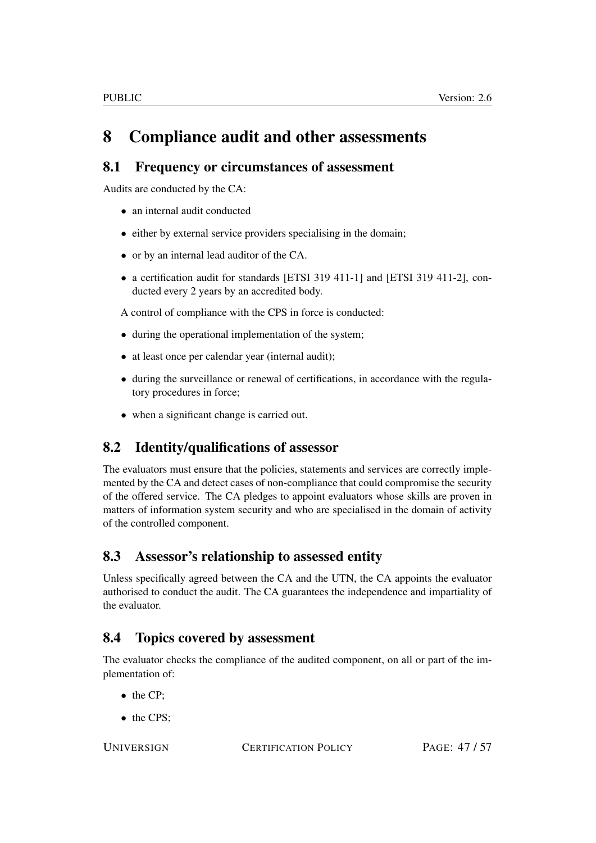# <span id="page-46-0"></span>8 Compliance audit and other assessments

# <span id="page-46-1"></span>8.1 Frequency or circumstances of assessment

Audits are conducted by the CA:

- an internal audit conducted
- either by external service providers specialising in the domain;
- or by an internal lead auditor of the CA.
- a certification audit for standards [ETSI 319 411-1] and [ETSI 319 411-2], conducted every 2 years by an accredited body.

A control of compliance with the CPS in force is conducted:

- during the operational implementation of the system;
- at least once per calendar year (internal audit);
- during the surveillance or renewal of certifications, in accordance with the regulatory procedures in force;
- when a significant change is carried out.

# <span id="page-46-2"></span>8.2 Identity/qualifications of assessor

The evaluators must ensure that the policies, statements and services are correctly implemented by the CA and detect cases of non-compliance that could compromise the security of the offered service. The CA pledges to appoint evaluators whose skills are proven in matters of information system security and who are specialised in the domain of activity of the controlled component.

# <span id="page-46-3"></span>8.3 Assessor's relationship to assessed entity

Unless specifically agreed between the CA and the UTN, the CA appoints the evaluator authorised to conduct the audit. The CA guarantees the independence and impartiality of the evaluator.

# <span id="page-46-4"></span>8.4 Topics covered by assessment

The evaluator checks the compliance of the audited component, on all or part of the implementation of:

- the CP;
- the CPS;

UNIVERSIGN CERTIFICATION POLICY PAGE: 47/57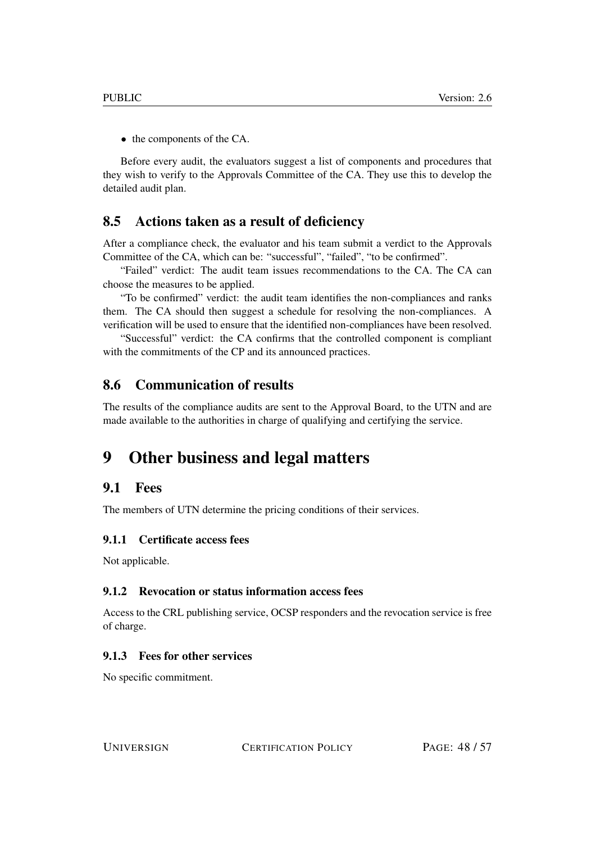• the components of the CA.

Before every audit, the evaluators suggest a list of components and procedures that they wish to verify to the Approvals Committee of the CA. They use this to develop the detailed audit plan.

#### <span id="page-47-0"></span>8.5 Actions taken as a result of deficiency

After a compliance check, the evaluator and his team submit a verdict to the Approvals Committee of the CA, which can be: "successful", "failed", "to be confirmed".

"Failed" verdict: The audit team issues recommendations to the CA. The CA can choose the measures to be applied.

"To be confirmed" verdict: the audit team identifies the non-compliances and ranks them. The CA should then suggest a schedule for resolving the non-compliances. A verification will be used to ensure that the identified non-compliances have been resolved.

"Successful" verdict: the CA confirms that the controlled component is compliant with the commitments of the CP and its announced practices.

#### <span id="page-47-1"></span>8.6 Communication of results

The results of the compliance audits are sent to the Approval Board, to the UTN and are made available to the authorities in charge of qualifying and certifying the service.

# <span id="page-47-2"></span>9 Other business and legal matters

#### <span id="page-47-3"></span>9.1 Fees

The members of UTN determine the pricing conditions of their services.

#### <span id="page-47-4"></span>9.1.1 Certificate access fees

Not applicable.

#### <span id="page-47-5"></span>9.1.2 Revocation or status information access fees

Access to the CRL publishing service, OCSP responders and the revocation service is free of charge.

#### <span id="page-47-6"></span>9.1.3 Fees for other services

No specific commitment.

UNIVERSIGN CERTIFICATION POLICY PAGE: 48/57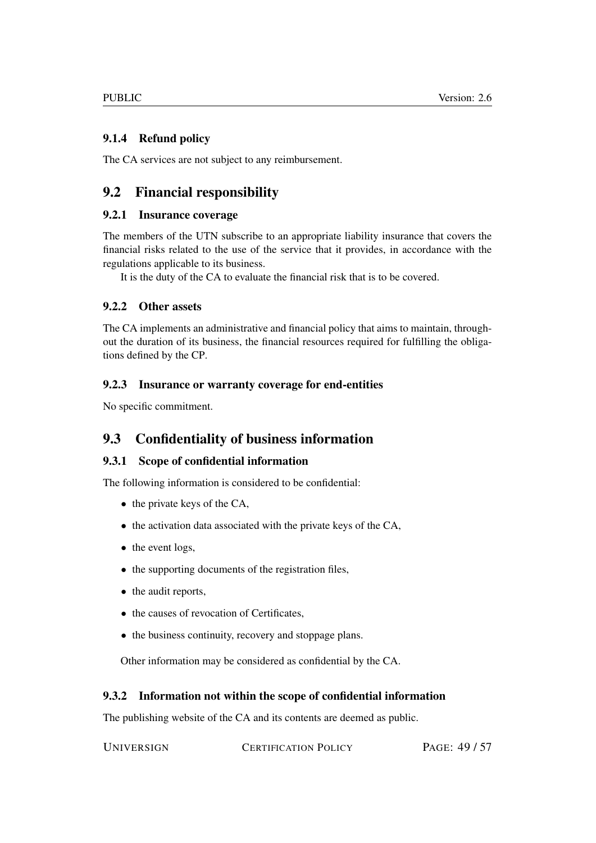#### <span id="page-48-0"></span>9.1.4 Refund policy

The CA services are not subject to any reimbursement.

# <span id="page-48-1"></span>9.2 Financial responsibility

#### <span id="page-48-2"></span>9.2.1 Insurance coverage

The members of the UTN subscribe to an appropriate liability insurance that covers the financial risks related to the use of the service that it provides, in accordance with the regulations applicable to its business.

It is the duty of the CA to evaluate the financial risk that is to be covered.

#### <span id="page-48-3"></span>9.2.2 Other assets

The CA implements an administrative and financial policy that aims to maintain, throughout the duration of its business, the financial resources required for fulfilling the obligations defined by the CP.

#### <span id="page-48-4"></span>9.2.3 Insurance or warranty coverage for end-entities

No specific commitment.

# <span id="page-48-5"></span>9.3 Confidentiality of business information

#### <span id="page-48-6"></span>9.3.1 Scope of confidential information

The following information is considered to be confidential:

- the private keys of the CA,
- the activation data associated with the private keys of the CA,
- the event logs,
- the supporting documents of the registration files,
- the audit reports,
- the causes of revocation of Certificates,
- the business continuity, recovery and stoppage plans.

Other information may be considered as confidential by the CA.

#### <span id="page-48-7"></span>9.3.2 Information not within the scope of confidential information

The publishing website of the CA and its contents are deemed as public.

UNIVERSIGN CERTIFICATION POLICY PAGE: 49/57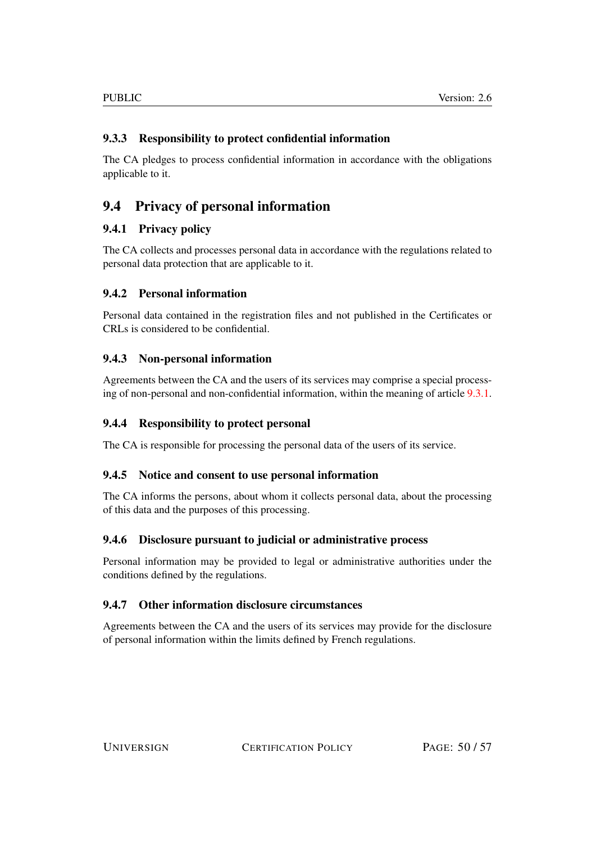#### <span id="page-49-0"></span>9.3.3 Responsibility to protect confidential information

The CA pledges to process confidential information in accordance with the obligations applicable to it.

# <span id="page-49-1"></span>9.4 Privacy of personal information

#### <span id="page-49-2"></span>9.4.1 Privacy policy

The CA collects and processes personal data in accordance with the regulations related to personal data protection that are applicable to it.

#### <span id="page-49-3"></span>9.4.2 Personal information

Personal data contained in the registration files and not published in the Certificates or CRLs is considered to be confidential.

#### <span id="page-49-4"></span>9.4.3 Non-personal information

Agreements between the CA and the users of its services may comprise a special processing of non-personal and non-confidential information, within the meaning of article [9.3.1.](#page-48-6)

#### <span id="page-49-5"></span>9.4.4 Responsibility to protect personal

The CA is responsible for processing the personal data of the users of its service.

#### <span id="page-49-6"></span>9.4.5 Notice and consent to use personal information

The CA informs the persons, about whom it collects personal data, about the processing of this data and the purposes of this processing.

#### <span id="page-49-7"></span>9.4.6 Disclosure pursuant to judicial or administrative process

Personal information may be provided to legal or administrative authorities under the conditions defined by the regulations.

#### <span id="page-49-8"></span>9.4.7 Other information disclosure circumstances

Agreements between the CA and the users of its services may provide for the disclosure of personal information within the limits defined by French regulations.

UNIVERSIGN CERTIFICATION POLICY PAGE: 50/57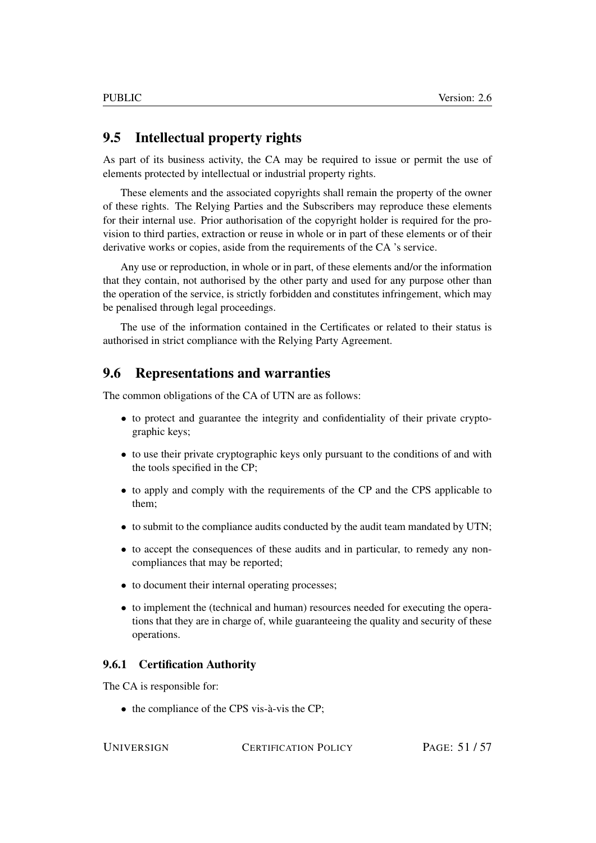# <span id="page-50-0"></span>9.5 Intellectual property rights

As part of its business activity, the CA may be required to issue or permit the use of elements protected by intellectual or industrial property rights.

These elements and the associated copyrights shall remain the property of the owner of these rights. The Relying Parties and the Subscribers may reproduce these elements for their internal use. Prior authorisation of the copyright holder is required for the provision to third parties, extraction or reuse in whole or in part of these elements or of their derivative works or copies, aside from the requirements of the CA 's service.

Any use or reproduction, in whole or in part, of these elements and/or the information that they contain, not authorised by the other party and used for any purpose other than the operation of the service, is strictly forbidden and constitutes infringement, which may be penalised through legal proceedings.

The use of the information contained in the Certificates or related to their status is authorised in strict compliance with the Relying Party Agreement.

#### <span id="page-50-1"></span>9.6 Representations and warranties

The common obligations of the CA of UTN are as follows:

- to protect and guarantee the integrity and confidentiality of their private cryptographic keys;
- to use their private cryptographic keys only pursuant to the conditions of and with the tools specified in the CP;
- to apply and comply with the requirements of the CP and the CPS applicable to them;
- to submit to the compliance audits conducted by the audit team mandated by UTN;
- to accept the consequences of these audits and in particular, to remedy any noncompliances that may be reported;
- to document their internal operating processes;
- to implement the (technical and human) resources needed for executing the operations that they are in charge of, while guaranteeing the quality and security of these operations.

#### <span id="page-50-2"></span>9.6.1 Certification Authority

The CA is responsible for:

• the compliance of the CPS vis-à-vis the CP;

UNIVERSIGN CERTIFICATION POLICY PAGE: 51/57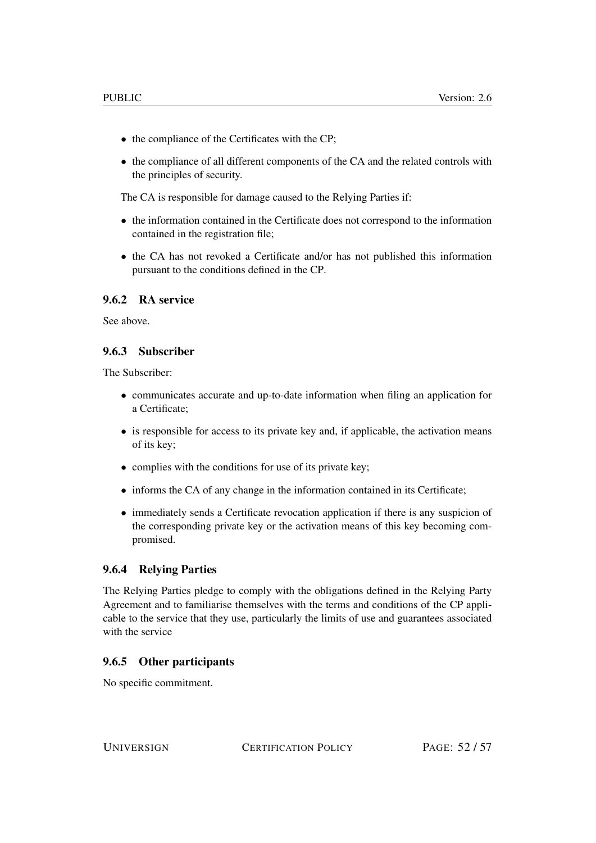- the compliance of the Certificates with the CP;
- the compliance of all different components of the CA and the related controls with the principles of security.

The CA is responsible for damage caused to the Relying Parties if:

- the information contained in the Certificate does not correspond to the information contained in the registration file;
- the CA has not revoked a Certificate and/or has not published this information pursuant to the conditions defined in the CP.

#### <span id="page-51-0"></span>9.6.2 RA service

See above.

#### <span id="page-51-1"></span>9.6.3 Subscriber

The Subscriber:

- communicates accurate and up-to-date information when filing an application for a Certificate;
- is responsible for access to its private key and, if applicable, the activation means of its key;
- complies with the conditions for use of its private key;
- informs the CA of any change in the information contained in its Certificate;
- immediately sends a Certificate revocation application if there is any suspicion of the corresponding private key or the activation means of this key becoming compromised.

#### <span id="page-51-2"></span>9.6.4 Relying Parties

The Relying Parties pledge to comply with the obligations defined in the Relying Party Agreement and to familiarise themselves with the terms and conditions of the CP applicable to the service that they use, particularly the limits of use and guarantees associated with the service

#### <span id="page-51-3"></span>9.6.5 Other participants

No specific commitment.

UNIVERSIGN CERTIFICATION POLICY PAGE: 52/57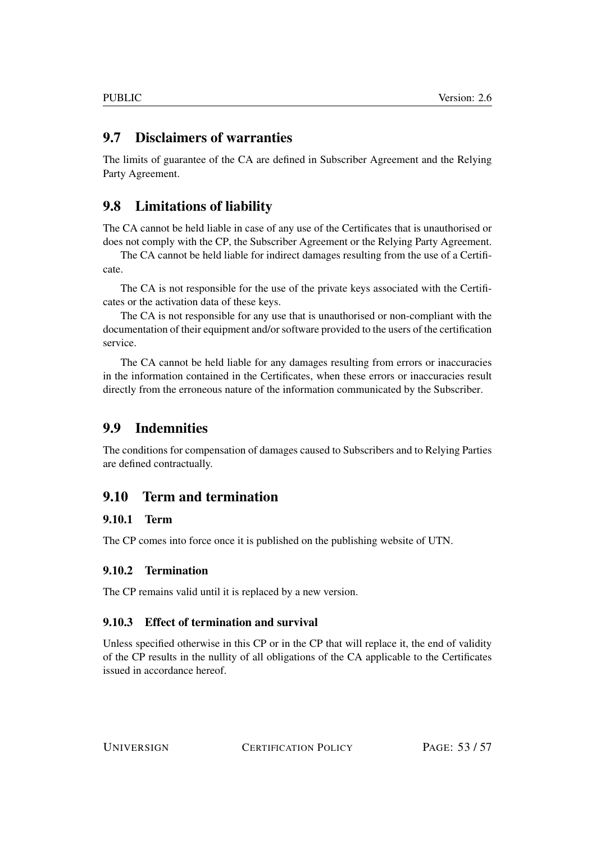# <span id="page-52-0"></span>9.7 Disclaimers of warranties

The limits of guarantee of the CA are defined in Subscriber Agreement and the Relying Party Agreement.

# <span id="page-52-1"></span>9.8 Limitations of liability

The CA cannot be held liable in case of any use of the Certificates that is unauthorised or does not comply with the CP, the Subscriber Agreement or the Relying Party Agreement.

The CA cannot be held liable for indirect damages resulting from the use of a Certificate.

The CA is not responsible for the use of the private keys associated with the Certificates or the activation data of these keys.

The CA is not responsible for any use that is unauthorised or non-compliant with the documentation of their equipment and/or software provided to the users of the certification service.

The CA cannot be held liable for any damages resulting from errors or inaccuracies in the information contained in the Certificates, when these errors or inaccuracies result directly from the erroneous nature of the information communicated by the Subscriber.

# <span id="page-52-2"></span>9.9 Indemnities

The conditions for compensation of damages caused to Subscribers and to Relying Parties are defined contractually.

# <span id="page-52-3"></span>9.10 Term and termination

#### <span id="page-52-4"></span>9.10.1 Term

The CP comes into force once it is published on the publishing website of UTN.

#### <span id="page-52-5"></span>9.10.2 Termination

The CP remains valid until it is replaced by a new version.

#### <span id="page-52-6"></span>9.10.3 Effect of termination and survival

Unless specified otherwise in this CP or in the CP that will replace it, the end of validity of the CP results in the nullity of all obligations of the CA applicable to the Certificates issued in accordance hereof.

UNIVERSIGN CERTIFICATION POLICY PAGE: 53/57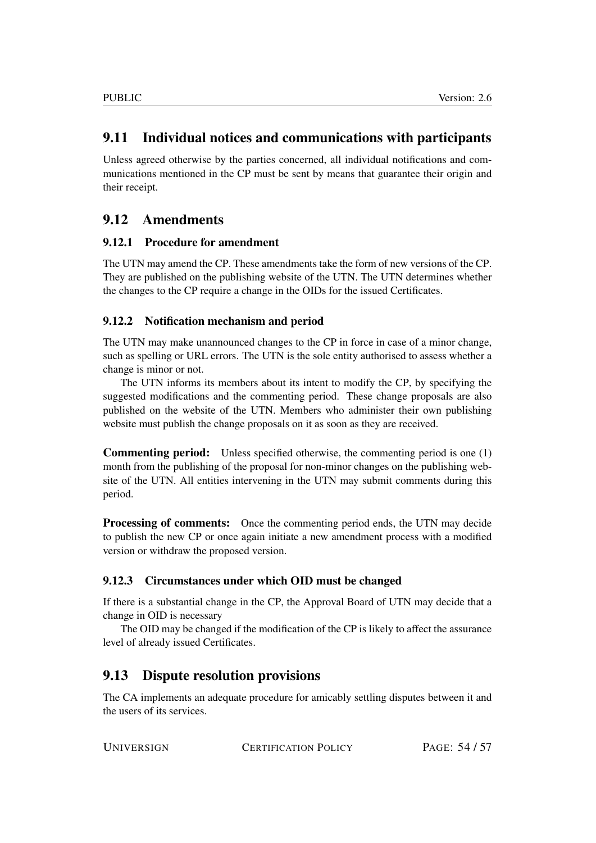# <span id="page-53-0"></span>9.11 Individual notices and communications with participants

Unless agreed otherwise by the parties concerned, all individual notifications and communications mentioned in the CP must be sent by means that guarantee their origin and their receipt.

# <span id="page-53-1"></span>9.12 Amendments

#### <span id="page-53-2"></span>9.12.1 Procedure for amendment

The UTN may amend the CP. These amendments take the form of new versions of the CP. They are published on the publishing website of the UTN. The UTN determines whether the changes to the CP require a change in the OIDs for the issued Certificates.

#### <span id="page-53-3"></span>9.12.2 Notification mechanism and period

The UTN may make unannounced changes to the CP in force in case of a minor change, such as spelling or URL errors. The UTN is the sole entity authorised to assess whether a change is minor or not.

The UTN informs its members about its intent to modify the CP, by specifying the suggested modifications and the commenting period. These change proposals are also published on the website of the UTN. Members who administer their own publishing website must publish the change proposals on it as soon as they are received.

Commenting period: Unless specified otherwise, the commenting period is one (1) month from the publishing of the proposal for non-minor changes on the publishing website of the UTN. All entities intervening in the UTN may submit comments during this period.

**Processing of comments:** Once the commenting period ends, the UTN may decide to publish the new CP or once again initiate a new amendment process with a modified version or withdraw the proposed version.

#### <span id="page-53-4"></span>9.12.3 Circumstances under which OID must be changed

If there is a substantial change in the CP, the Approval Board of UTN may decide that a change in OID is necessary

The OID may be changed if the modification of the CP is likely to affect the assurance level of already issued Certificates.

# <span id="page-53-5"></span>9.13 Dispute resolution provisions

The CA implements an adequate procedure for amicably settling disputes between it and the users of its services.

UNIVERSIGN CERTIFICATION POLICY PAGE: 54/57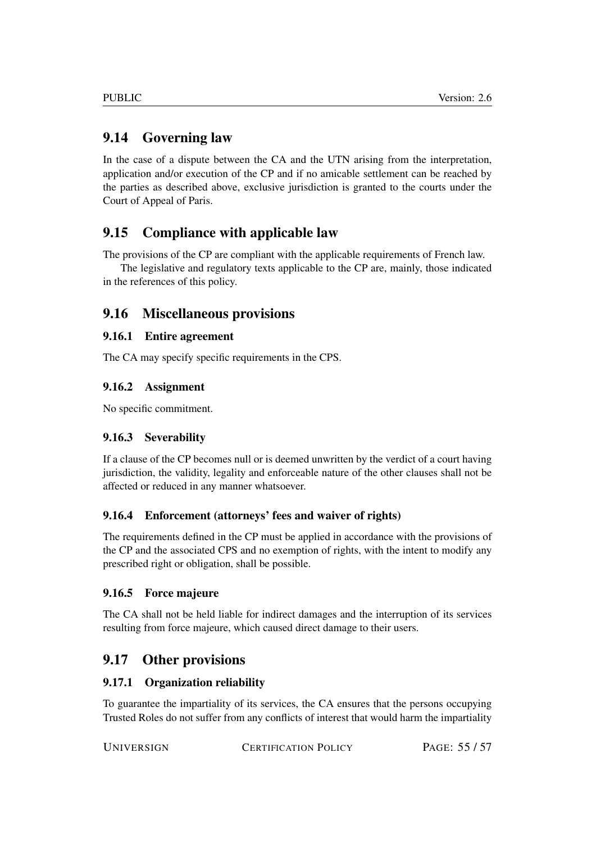# <span id="page-54-0"></span>9.14 Governing law

In the case of a dispute between the CA and the UTN arising from the interpretation, application and/or execution of the CP and if no amicable settlement can be reached by the parties as described above, exclusive jurisdiction is granted to the courts under the Court of Appeal of Paris.

# <span id="page-54-1"></span>9.15 Compliance with applicable law

The provisions of the CP are compliant with the applicable requirements of French law.

The legislative and regulatory texts applicable to the CP are, mainly, those indicated in the references of this policy.

# <span id="page-54-2"></span>9.16 Miscellaneous provisions

#### <span id="page-54-3"></span>9.16.1 Entire agreement

The CA may specify specific requirements in the CPS.

#### <span id="page-54-4"></span>9.16.2 Assignment

No specific commitment.

#### <span id="page-54-5"></span>9.16.3 Severability

If a clause of the CP becomes null or is deemed unwritten by the verdict of a court having jurisdiction, the validity, legality and enforceable nature of the other clauses shall not be affected or reduced in any manner whatsoever.

#### <span id="page-54-6"></span>9.16.4 Enforcement (attorneys' fees and waiver of rights)

The requirements defined in the CP must be applied in accordance with the provisions of the CP and the associated CPS and no exemption of rights, with the intent to modify any prescribed right or obligation, shall be possible.

#### <span id="page-54-7"></span>9.16.5 Force majeure

The CA shall not be held liable for indirect damages and the interruption of its services resulting from force majeure, which caused direct damage to their users.

# <span id="page-54-8"></span>9.17 Other provisions

#### <span id="page-54-9"></span>9.17.1 Organization reliability

To guarantee the impartiality of its services, the CA ensures that the persons occupying Trusted Roles do not suffer from any conflicts of interest that would harm the impartiality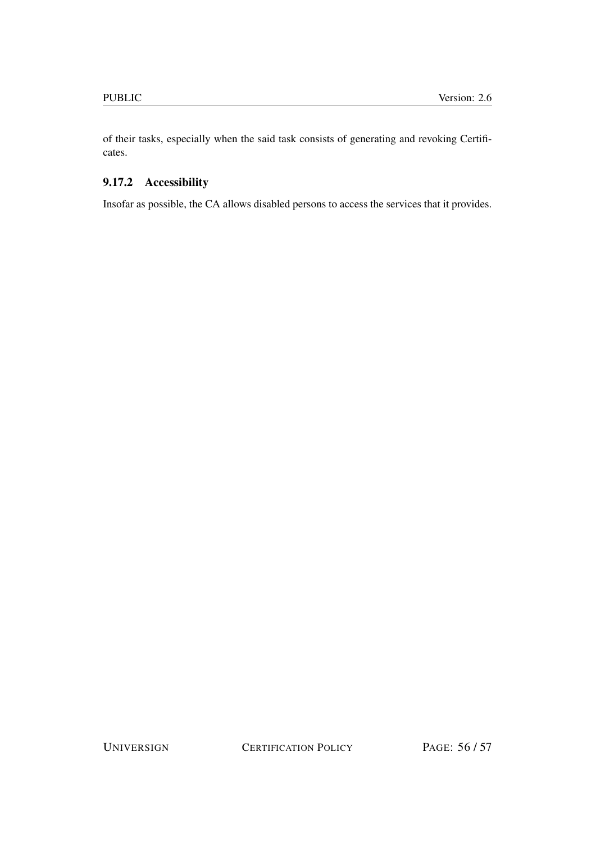of their tasks, especially when the said task consists of generating and revoking Certificates.

# <span id="page-55-0"></span>9.17.2 Accessibility

Insofar as possible, the CA allows disabled persons to access the services that it provides.